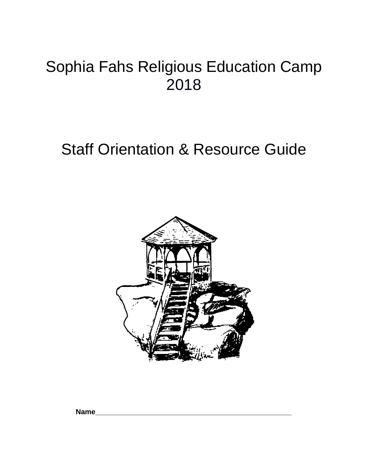# Sophia Fahs Religious Education Camp 2018

# Staff Orientation & Resource Guide



**Name\_\_\_\_\_\_\_\_\_\_\_\_\_\_\_\_\_\_\_\_\_\_\_\_\_\_\_\_\_\_\_\_\_\_\_\_\_\_\_\_\_\_\_\_\_\_\_\_\_**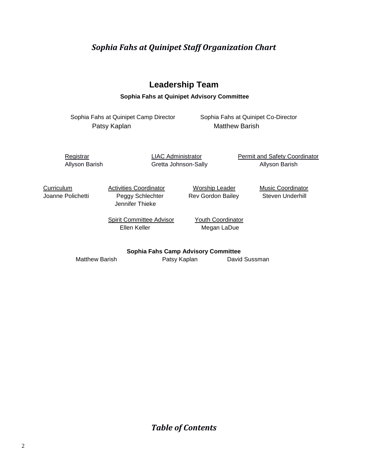### *Sophia Fahs at Quinipet Staff Organization Chart*

### **Leadership Team**

**Sophia Fahs at Quinipet Advisory Committee**

Sophia Fahs at Quinipet Camp Director Sophia Fahs at Quinipet Co-Director Patsy Kaplan Matthew Barish

Allyson Barish **Gretta Johnson-Sally Allyson Barish** Allyson Barish

Registrar **EXAC Administrator** Permit and Safety Coordinator

**Curriculum Activities Coordinator Music Coordinator Curriculum** Music Coordinator Joanne Polichetti Peggy Schlechter Rev Gordon Bailey Steven Underhill Jennifer Thieke

Spirit Committee Advisor Youth Coordinator Ellen Keller Megan LaDue

**Sophia Fahs Camp Advisory Committee**

Matthew Barish **Patsy Kaplan** David Sussman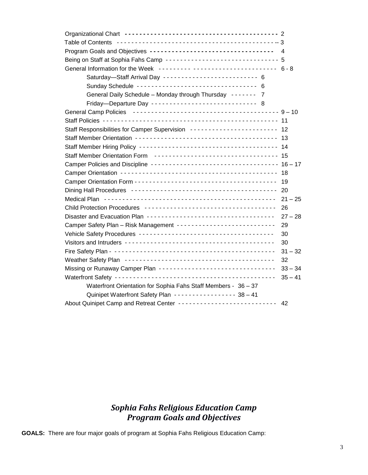| Program Goals and Objectives ----------------------------------- 4         |           |
|----------------------------------------------------------------------------|-----------|
| Being on Staff at Sophia Fahs Camp ------------------------------- 5       |           |
| General Information for the Week --------- ---------------------- 6-8      |           |
| Saturday-Staff Arrival Day -------------------------- 6                    |           |
| Sunday Schedule --------------------------------- 6                        |           |
| General Daily Schedule - Monday through Thursday ------- 7                 |           |
| Friday-Departure Day ---------------------------- 8                        |           |
|                                                                            |           |
|                                                                            |           |
|                                                                            |           |
|                                                                            |           |
|                                                                            |           |
| Staff Member Orientation Form ----------------------------------- 15       |           |
| Camper Policies and Discipline ----------------------------------- 16 - 17 |           |
|                                                                            |           |
|                                                                            |           |
|                                                                            |           |
|                                                                            |           |
|                                                                            | 26        |
|                                                                            | $27 - 28$ |
| Camper Safety Plan - Risk Management ---------------------------           | 29        |
|                                                                            | 30        |
|                                                                            | 30        |
|                                                                            | $31 - 32$ |
|                                                                            | 32        |
| Missing or Runaway Camper Plan ---------------------------------           | $33 - 34$ |
|                                                                            | $35 - 41$ |
| Waterfront Orientation for Sophia Fahs Staff Members - 36 - 37             |           |
| Quinipet Waterfront Safety Plan ---------------- 38-41                     |           |
| About Quinipet Camp and Retreat Center --------------------------   42     |           |

### *Sophia Fahs Religious Education Camp Program Goals and Objectives*

**GOALS:** There are four major goals of program at Sophia Fahs Religious Education Camp: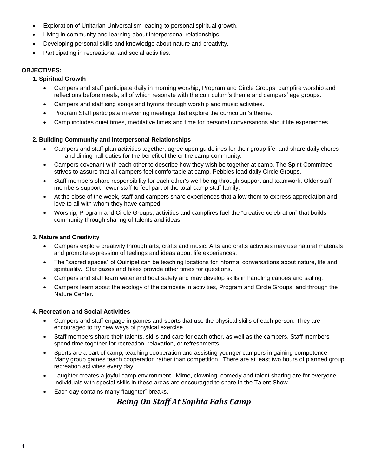- Exploration of Unitarian Universalism leading to personal spiritual growth.
- Living in community and learning about interpersonal relationships.
- Developing personal skills and knowledge about nature and creativity.
- Participating in recreational and social activities.

#### **OBJECTIVES:**

#### **1. Spiritual Growth**

- Campers and staff participate daily in morning worship, Program and Circle Groups, campfire worship and reflections before meals, all of which resonate with the curriculum's theme and campers' age groups.
- Campers and staff sing songs and hymns through worship and music activities.
- Program Staff participate in evening meetings that explore the curriculum's theme.
- Camp includes quiet times, meditative times and time for personal conversations about life experiences.

#### **2. Building Community and Interpersonal Relationships**

- Campers and staff plan activities together, agree upon guidelines for their group life, and share daily chores and dining hall duties for the benefit of the entire camp community.
- Campers covenant with each other to describe how they wish be together at camp. The Spirit Committee strives to assure that all campers feel comfortable at camp. Pebbles lead daily Circle Groups.
- Staff members share responsibility for each other's well being through support and teamwork. Older staff members support newer staff to feel part of the total camp staff family.
- At the close of the week, staff and campers share experiences that allow them to express appreciation and love to all with whom they have camped.
- Worship, Program and Circle Groups, activities and campfires fuel the "creative celebration" that builds community through sharing of talents and ideas.

#### **3. Nature and Creativity**

- Campers explore creativity through arts, crafts and music. Arts and crafts activities may use natural materials and promote expression of feelings and ideas about life experiences.
- The "sacred spaces" of Quinipet can be teaching locations for informal conversations about nature, life and spirituality. Star gazes and hikes provide other times for questions.
- Campers and staff learn water and boat safety and may develop skills in handling canoes and sailing.
- Campers learn about the ecology of the campsite in activities, Program and Circle Groups, and through the Nature Center.

#### **4. Recreation and Social Activities**

- Campers and staff engage in games and sports that use the physical skills of each person. They are encouraged to try new ways of physical exercise.
- Staff members share their talents, skills and care for each other, as well as the campers. Staff members spend time together for recreation, relaxation, or refreshments.
- Sports are a part of camp, teaching cooperation and assisting younger campers in gaining competence. Many group games teach cooperation rather than competition. There are at least two hours of planned group recreation activities every day.
- Laughter creates a joyful camp environment. Mime, clowning, comedy and talent sharing are for everyone. Individuals with special skills in these areas are encouraged to share in the Talent Show.
- Each day contains many "laughter" breaks.

### *Being On Staff At Sophia Fahs Camp*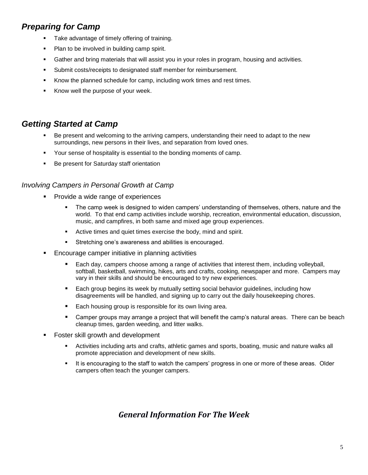### *Preparing for Camp*

- Take advantage of timely offering of training.
- Plan to be involved in building camp spirit.
- **■** Gather and bring materials that will assist you in your roles in program, housing and activities.
- Submit costs/receipts to designated staff member for reimbursement.
- Know the planned schedule for camp, including work times and rest times.
- Know well the purpose of your week.

### *Getting Started at Camp*

- Be present and welcoming to the arriving campers, understanding their need to adapt to the new surroundings, new persons in their lives, and separation from loved ones.
- Your sense of hospitality is essential to the bonding moments of camp.
- Be present for Saturday staff orientation

#### *Involving Campers in Personal Growth at Camp*

- Provide a wide range of experiences
	- The camp week is designed to widen campers' understanding of themselves, others, nature and the world. To that end camp activities include worship, recreation, environmental education, discussion, music, and campfires, in both same and mixed age group experiences.
	- Active times and quiet times exercise the body, mind and spirit.
	- Stretching one's awareness and abilities is encouraged.
- Encourage camper initiative in planning activities
	- Each day, campers choose among a range of activities that interest them, including volleyball, softball, basketball, swimming, hikes, arts and crafts, cooking, newspaper and more. Campers may vary in their skills and should be encouraged to try new experiences.
	- Each group begins its week by mutually setting social behavior guidelines, including how disagreements will be handled, and signing up to carry out the daily housekeeping chores.
	- Each housing group is responsible for its own living area.
	- Camper groups may arrange a project that will benefit the camp's natural areas. There can be beach cleanup times, garden weeding, and litter walks.
- Foster skill growth and development
	- **EXECT Activities including arts and crafts, athletic games and sports, boating, music and nature walks all** promote appreciation and development of new skills.
	- **.** It is encouraging to the staff to watch the campers' progress in one or more of these areas. Older campers often teach the younger campers.

### *General Information For The Week*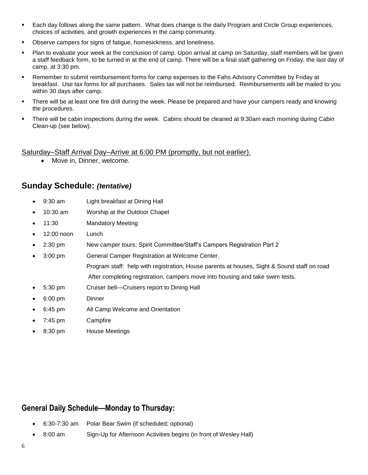- Each day follows along the same pattern. What does change is the daily Program and Circle Group experiences, choices of activities, and growth experiences in the camp community.
- Observe campers for signs of fatigue, homesickness, and loneliness.
- Plan to evaluate your week at the conclusion of camp. Upon arrival at camp on Saturday, staff members will be given a staff feedback form, to be turned in at the end of camp. There will be a final staff gathering on Friday, the last day of camp, at 3:30 pm.
- Remember to submit reimbursement forms for camp expenses to the Fahs Advisory Committee by Friday at breakfast. Use tax forms for all purchases. Sales tax will not be reimbursed. Reimbursements will be mailed to you within 30 days after camp.
- There will be at least one fire drill during the week. Please be prepared and have your campers ready and knowing the procedures.
- There will be cabin inspections during the week. Cabins should be cleaned at 9:30am each morning during Cabin Clean-up (see below).

#### Saturday–Staff Arrival Day–Arrive at 6:00 PM (promptly, but not earlier).

• Move in, Dinner, welcome.

### **Sunday Schedule:** *(tentative)*

- 9:30 am Light breakfast at Dining Hall
- 10:30 am Worship at the Outdoor Chapel
- 11:30 Mandatory Meeting
- 12:00 noon Lunch
- 2:30 pm New camper tours; Spirit Committee/Staff's Campers Registration Part 2
- 3:00 pm General Camper Registration at Welcome Center. Program staff: help with registration, House parents at houses, Sight & Sound staff on road After completing registration, campers move into housing and take swim tests.
- 5:30 pm Cruiser bell—Cruisers report to Dining Hall
- 6:00 pm Dinner
- 6:45 pm All Camp Welcome and Orientation
- 7:45 pm Campfire
- 8:30 pm House Meetings

### **General Daily Schedule—Monday to Thursday:**

- 6:30-7:30 am Polar Bear Swim (if scheduled; optional)
- 8:00 am Sign-Up for Afternoon Activities begins (in front of Wesley Hall)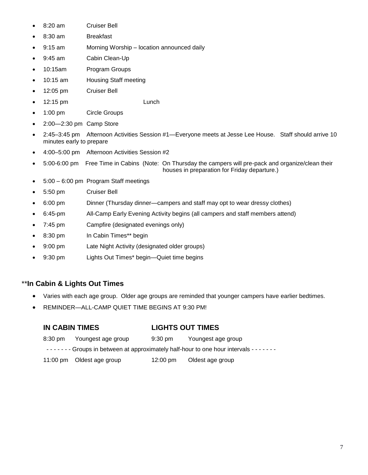- 8:20 am Cruiser Bell
- 8:30 am Breakfast
- 9:15 am Morning Worship location announced daily
- 9:45 am Cabin Clean-Up
- 10:15am Program Groups
- 10:15 am Housing Staff meeting
- 12:05 pm Cruiser Bell
- 12:15 pm Lunch
- 1:00 pm Circle Groups
- 2:00—2:30 pm Camp Store
- 2:45–3:45 pm Afternoon Activities Session #1—Everyone meets at Jesse Lee House. Staff should arrive 10 minutes early to prepare
- 4:00–5:00 pm Afternoon Activities Session #2
- 5:00-6:00 pm Free Time in Cabins (Note: On Thursday the campers will pre-pack and organize/clean their houses in preparation for Friday departure.)
- 5:00 6:00 pm Program Staff meetings
- 5:50 pm Cruiser Bell
- 6:00 pm Dinner (Thursday dinner—campers and staff may opt to wear dressy clothes)
- 6:45-pm All-Camp Early Evening Activity begins (all campers and staff members attend)
- 7:45 pm Campfire (designated evenings only)
- 8:30 pm In Cabin Times\*\* begin
- 9:00 pm Late Night Activity (designated older groups)
- 9:30 pm Lights Out Times\* begin—Quiet time begins

#### \*\***In Cabin & Lights Out Times**

- Varies with each age group. Older age groups are reminded that younger campers have earlier bedtimes.
- REMINDER—ALL-CAMP QUIET TIME BEGINS AT 9:30 PM!

| <b>IN CABIN TIMES</b> |                            | <b>LIGHTS OUT TIMES</b> |                                                                                   |  |
|-----------------------|----------------------------|-------------------------|-----------------------------------------------------------------------------------|--|
|                       | 8:30 pm Youngest age group | 9:30 pm                 | Youngest age group                                                                |  |
|                       |                            |                         | ------- Groups in between at approximately half-hour to one hour intervals ------ |  |
|                       | 11:00 pm Oldest age group  | 12:00 pm                | Oldest age group                                                                  |  |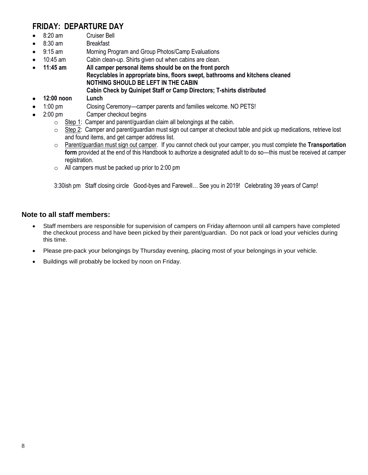### **FRIDAY: DEPARTURE DAY**

- 8:20 am Cruiser Bell
- 8:30 am Breakfast
- 9:15 am Morning Program and Group Photos/Camp Evaluations
- 10:45 am Cabin clean-up. Shirts given out when cabins are clean.
- **11:45 am All camper personal items should be on the front porch Recyclables in appropriate bins, floors swept, bathrooms and kitchens cleaned NOTHING SHOULD BE LEFT IN THE CABIN**
	- **Cabin Check by Quinipet Staff or Camp Directors; T-shirts distributed**
- **12:00 noon Lunch**
- 1:00 pm Closing Ceremony—camper parents and families welcome. NO PETS!
- 2:00 pm Camper checkout begins
	- $\circ$  Step 1: Camper and parent/quardian claim all belongings at the cabin.
	- $\circ$  Step 2: Camper and parent/guardian must sign out camper at checkout table and pick up medications, retrieve lost and found items, and get camper address list.
	- o Parent/guardian must sign out camper. If you cannot check out your camper, you must complete the **Transportation form** provided at the end of this Handbook to authorize a designated adult to do so—this must be received at camper registration.
	- o All campers must be packed up prior to 2:00 pm

3:30ish pm Staff closing circle Good-byes and Farewell… See you in 2019! Celebrating 39 years of Camp!

#### **Note to all staff members:**

- Staff members are responsible for supervision of campers on Friday afternoon until all campers have completed the checkout process and have been picked by their parent/guardian. Do not pack or load your vehicles during this time.
- Please pre-pack your belongings by Thursday evening, placing most of your belongings in your vehicle.
- Buildings will probably be locked by noon on Friday.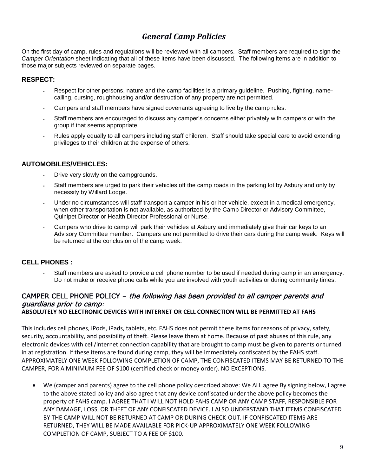### *General Camp Policies*

On the first day of camp, rules and regulations will be reviewed with all campers. Staff members are required to sign the *Camper Orientation* sheet indicating that all of these items have been discussed. The following items are in addition to those major subjects reviewed on separate pages.

#### **RESPECT:**

- Respect for other persons, nature and the camp facilities is a primary guideline. Pushing, fighting, namecalling, cursing, roughhousing and/or destruction of any property are not permitted.
- Campers and staff members have signed covenants agreeing to live by the camp rules.
- Staff members are encouraged to discuss any camper's concerns either privately with campers or with the group if that seems appropriate.
- Rules apply equally to all campers including staff children. Staff should take special care to avoid extending privileges to their children at the expense of others.

#### **AUTOMOBILES/VEHICLES:**

- Drive very slowly on the campgrounds.
- Staff members are urged to park their vehicles off the camp roads in the parking lot by Asbury and only by necessity by Willard Lodge.
- Under no circumstances will staff transport a camper in his or her vehicle, except in a medical emergency, when other transportation is not available, as authorized by the Camp Director or Advisory Committee, Quinipet Director or Health Director Professional or Nurse.
- Campers who drive to camp will park their vehicles at Asbury and immediately give their car keys to an Advisory Committee member. Campers are not permitted to drive their cars during the camp week. Keys will be returned at the conclusion of the camp week.

#### **CELL PHONES :**

Staff members are asked to provide a cell phone number to be used if needed during camp in an emergency. Do not make or receive phone calls while you are involved with youth activities or during community times.

### CAMPER CELL PHONE POLICY – the following has been provided to all camper parents and guardians prior to camp:

#### **ABSOLUTELY NO ELECTRONIC DEVICES WITH INTERNET OR CELL CONNECTION WILL BE PERMITTED AT FAHS**

This includes cell phones, iPods, iPads, tablets, etc. FAHS does not permit these items for reasons of privacy, safety, security, accountability, and possibility of theft. Please leave them at home. Because of past abuses of this rule, any electronic devices with cell/internet connection capability that are brought to camp must be given to parents or turned in at registration. If these items are found during camp, they will be immediately confiscated by the FAHS staff. APPROXIMATELY ONE WEEK FOLLOWING COMPLETION OF CAMP, THE CONFISCATED ITEMS MAY BE RETURNED TO THE CAMPER, FOR A MINIMUM FEE OF \$100 (certified check or money order). NO EXCEPTIONS.

• We (camper and parents) agree to the cell phone policy described above: We ALL agree By signing below, I agree to the above stated policy and also agree that any device confiscated under the above policy becomes the property of FAHS camp. I AGREE THAT I WILL NOT HOLD FAHS CAMP OR ANY CAMP STAFF, RESPONSIBLE FOR ANY DAMAGE, LOSS, OR THEFT OF ANY CONFISCATED DEVICE. I ALSO UNDERSTAND THAT ITEMS CONFISCATED BY THE CAMP WILL NOT BE RETURNED AT CAMP OR DURING CHECK-OUT. IF CONFISCATED ITEMS ARE RETURNED, THEY WILL BE MADE AVAILABLE FOR PICK-UP APPROXIMATELY ONE WEEK FOLLOWING COMPLETION OF CAMP, SUBJECT TO A FEE OF \$100.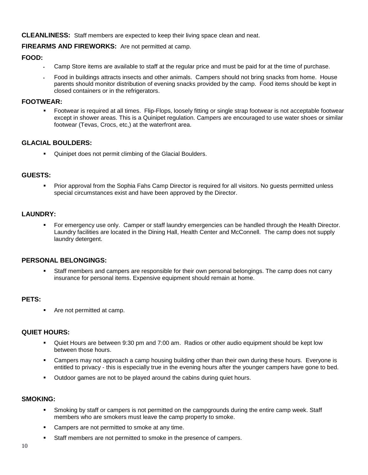**CLEANLINESS:** Staff members are expected to keep their living space clean and neat.

#### **FIREARMS AND FIREWORKS:** Are not permitted at camp.

#### **FOOD:**

- Camp Store items are available to staff at the regular price and must be paid for at the time of purchase.
- Food in buildings attracts insects and other animals. Campers should not bring snacks from home. House parents should monitor distribution of evening snacks provided by the camp. Food items should be kept in closed containers or in the refrigerators.

#### **FOOTWEAR:**

Footwear is required at all times. Flip-Flops, loosely fitting or single strap footwear is not acceptable footwear except in shower areas. This is a Quinipet regulation. Campers are encouraged to use water shoes or similar footwear (Tevas, Crocs, etc,) at the waterfront area.

#### **GLACIAL BOULDERS:**

Quinipet does not permit climbing of the Glacial Boulders.

#### **GUESTS:**

Prior approval from the Sophia Fahs Camp Director is required for all visitors. No guests permitted unless special circumstances exist and have been approved by the Director.

#### **LAUNDRY:**

For emergency use only. Camper or staff laundry emergencies can be handled through the Health Director. Laundry facilities are located in the Dining Hall, Health Center and McConnell. The camp does not supply laundry detergent.

#### **PERSONAL BELONGINGS:**

Staff members and campers are responsible for their own personal belongings. The camp does not carry insurance for personal items. Expensive equipment should remain at home.

#### **PETS:**

■ Are not permitted at camp.

#### **QUIET HOURS:**

- Quiet Hours are between 9:30 pm and 7:00 am. Radios or other audio equipment should be kept low between those hours.
- Campers may not approach a camp housing building other than their own during these hours. Everyone is entitled to privacy - this is especially true in the evening hours after the younger campers have gone to bed.
- Outdoor games are not to be played around the cabins during quiet hours.

#### **SMOKING:**

- Smoking by staff or campers is not permitted on the campgrounds during the entire camp week. Staff members who are smokers must leave the camp property to smoke.
- Campers are not permitted to smoke at any time.
- Staff members are not permitted to smoke in the presence of campers.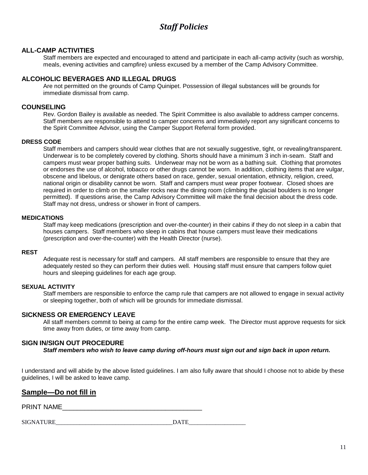### *Staff Policies*

#### **ALL-CAMP ACTIVITIES**

Staff members are expected and encouraged to attend and participate in each all-camp activity (such as worship, meals, evening activities and campfire) unless excused by a member of the Camp Advisory Committee.

#### **ALCOHOLIC BEVERAGES AND ILLEGAL DRUGS**

Are not permitted on the grounds of Camp Quinipet. Possession of illegal substances will be grounds for immediate dismissal from camp.

#### **COUNSELING**

Rev. Gordon Bailey is available as needed. The Spirit Committee is also available to address camper concerns. Staff members are responsible to attend to camper concerns and immediately report any significant concerns to the Spirit Committee Advisor, using the Camper Support Referral form provided.

#### **DRESS CODE**

Staff members and campers should wear clothes that are not sexually suggestive, tight, or revealing/transparent. Underwear is to be completely covered by clothing. Shorts should have a minimum 3 inch in-seam. Staff and campers must wear proper bathing suits. Underwear may not be worn as a bathing suit. Clothing that promotes or endorses the use of alcohol, tobacco or other drugs cannot be worn. In addition, clothing items that are vulgar, obscene and libelous, or denigrate others based on race, gender, sexual orientation, ethnicity, religion, creed, national origin or disability cannot be worn. Staff and campers must wear proper footwear. Closed shoes are required in order to climb on the smaller rocks near the dining room (climbing the glacial boulders is no longer permitted). If questions arise, the Camp Advisory Committee will make the final decision about the dress code. Staff may not dress, undress or shower in front of campers.

#### **MEDICATIONS**

Staff may keep medications (prescription and over-the-counter) in their cabins if they do not sleep in a cabin that houses campers. Staff members who sleep in cabins that house campers must leave their medications (prescription and over-the-counter) with the Health Director (nurse).

#### **REST**

Adequate rest is necessary for staff and campers. All staff members are responsible to ensure that they are adequately rested so they can perform their duties well. Housing staff must ensure that campers follow quiet hours and sleeping guidelines for each age group.

#### **SEXUAL ACTIVITY**

Staff members are responsible to enforce the camp rule that campers are not allowed to engage in sexual activity or sleeping together, both of which will be grounds for immediate dismissal.

#### **SICKNESS OR EMERGENCY LEAVE**

All staff members commit to being at camp for the entire camp week. The Director must approve requests for sick time away from duties, or time away from camp.

#### **SIGN IN/SIGN OUT PROCEDURE**

*Staff members who wish to leave camp during off-hours must sign out and sign back in upon return.* 

I understand and will abide by the above listed guidelines. I am also fully aware that should I choose not to abide by these guidelines, I will be asked to leave camp.

#### **Sample—Do not fill in**

PRINT NAME\_\_\_\_\_\_\_\_\_\_\_\_\_\_\_\_\_\_\_\_\_\_\_\_\_\_\_\_\_\_\_\_\_\_\_\_\_\_

| <b>SIGN.</b><br>ATIIDE<br>NATUNE |  |
|----------------------------------|--|
|                                  |  |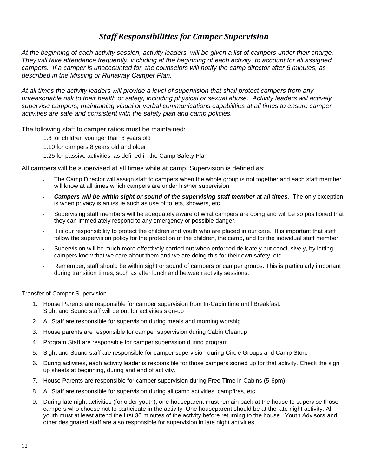### *Staff Responsibilities for Camper Supervision*

*At the beginning of each activity session, activity leaders will be given a list of campers under their charge. They will take attendance frequently, including at the beginning of each activity, to account for all assigned campers. If a camper is unaccounted for, the counselors will notify the camp director after 5 minutes, as described in the Missing or Runaway Camper Plan.*

*At all times the activity leaders will provide a level of supervision that shall protect campers from any unreasonable risk to their health or safety, including physical or sexual abuse. Activity leaders will actively supervise campers, maintaining visual or verbal communications capabilities at all times to ensure camper activities are safe and consistent with the safety plan and camp policies.*

The following staff to camper ratios must be maintained:

1:8 for children younger than 8 years old

1:10 for campers 8 years old and older

1:25 for passive activities, as defined in the Camp Safety Plan

All campers will be supervised at all times while at camp. Supervision is defined as:

- The Camp Director will assign staff to campers when the whole group is not together and each staff member will know at all times which campers are under his/her supervision.
- **Campers will be within sight or sound of the supervising staff member at all times.** The only exception is when privacy is an issue such as use of toilets, showers, etc.
- Supervising staff members will be adequately aware of what campers are doing and will be so positioned that they can immediately respond to any emergency or possible danger.
- It is our responsibility to protect the children and youth who are placed in our care. It is important that staff follow the supervision policy for the protection of the children, the camp, and for the individual staff member.
- Supervision will be much more effectively carried out when enforced delicately but conclusively, by letting campers know that we care about them and we are doing this for their own safety, etc.
- Remember, staff should be within sight or sound of campers or camper groups. This is particularly important during transition times, such as after lunch and between activity sessions.

Transfer of Camper Supervision

- 1. House Parents are responsible for camper supervision from In-Cabin time until Breakfast. Sight and Sound staff will be out for activities sign-up
- 2. All Staff are responsible for supervision during meals and morning worship
- 3. House parents are responsible for camper supervision during Cabin Cleanup
- 4. Program Staff are responsible for camper supervision during program
- 5. Sight and Sound staff are responsible for camper supervision during Circle Groups and Camp Store
- 6. During activities, each activity leader is responsible for those campers signed up for that activity. Check the sign up sheets at beginning, during and end of activity.
- 7. House Parents are responsible for camper supervision during Free Time in Cabins (5-6pm).
- 8. All Staff are responsible for supervision during all camp activities, campfires, etc.
- 9. During late night activities (for older youth), one houseparent must remain back at the house to supervise those campers who choose not to participate in the activity. One houseparent should be at the late night activity. All youth must at least attend the first 30 minutes of the activity before returning to the house. Youth Advisors and other designated staff are also responsible for supervision in late night activities.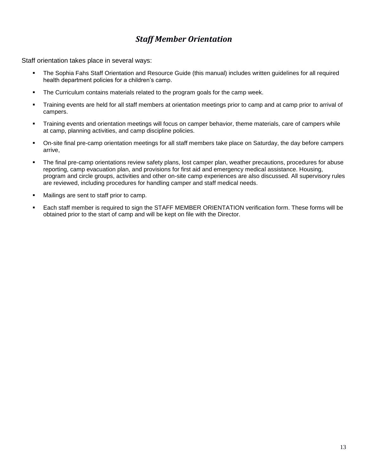### *Staff Member Orientation*

Staff orientation takes place in several ways:

- The Sophia Fahs Staff Orientation and Resource Guide (this manual) includes written guidelines for all required health department policies for a children's camp.
- **•** The Curriculum contains materials related to the program goals for the camp week.
- Training events are held for all staff members at orientation meetings prior to camp and at camp prior to arrival of campers.
- Training events and orientation meetings will focus on camper behavior, theme materials, care of campers while at camp, planning activities, and camp discipline policies.
- On-site final pre-camp orientation meetings for all staff members take place on Saturday, the day before campers arrive,
- The final pre-camp orientations review safety plans, lost camper plan, weather precautions, procedures for abuse reporting, camp evacuation plan, and provisions for first aid and emergency medical assistance. Housing, program and circle groups, activities and other on-site camp experiences are also discussed. All supervisory rules are reviewed, including procedures for handling camper and staff medical needs.
- Mailings are sent to staff prior to camp.
- Each staff member is required to sign the STAFF MEMBER ORIENTATION verification form. These forms will be obtained prior to the start of camp and will be kept on file with the Director.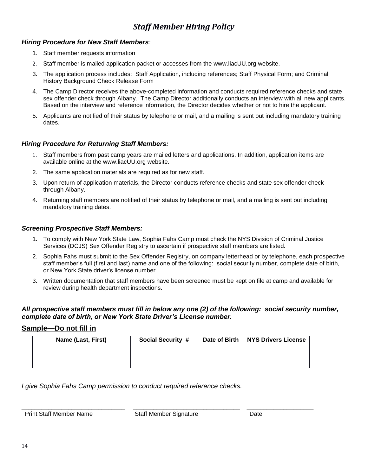### *Staff Member Hiring Policy*

#### *Hiring Procedure for New Staff Members:*

- 1. Staff member requests information
- 2. Staff member is mailed application packet or accesses from the [www.liacUU.org](http://www.liacuu.org/) website.
- 3. The application process includes: Staff Application, including references; Staff Physical Form; and Criminal History Background Check Release Form
- 4. The Camp Director receives the above-completed information and conducts required reference checks and state sex offender check through Albany. The Camp Director additionally conducts an interview with all new applicants. Based on the interview and reference information, the Director decides whether or not to hire the applicant.
- 5. Applicants are notified of their status by telephone or mail, and a mailing is sent out including mandatory training dates.

#### *Hiring Procedure for Returning Staff Members:*

- 1. Staff members from past camp years are mailed letters and applications. In addition, application items are available online at the [www.liacUU.org](http://www.liacuu.org/) website.
- 2. The same application materials are required as for new staff.
- 3. Upon return of application materials, the Director conducts reference checks and state sex offender check through Albany.
- 4. Returning staff members are notified of their status by telephone or mail, and a mailing is sent out including mandatory training dates.

#### *Screening Prospective Staff Members:*

- 1. To comply with New York State Law, Sophia Fahs Camp must check the NYS Division of Criminal Justice Services (DCJS) Sex Offender Registry to ascertain if prospective staff members are listed.
- 2. Sophia Fahs must submit to the Sex Offender Registry, on company letterhead or by telephone, each prospective staff member's full (first and last) name and one of the following: social security number, complete date of birth, or New York State driver's license number.
- 3. Written documentation that staff members have been screened must be kept on file at camp and available for review during health department inspections.

#### *All prospective staff members must fill in below any one (2) of the following: social security number, complete date of birth, or New York State Driver's License number.*

#### **Sample—Do not fill in**

| Name (Last, First) | <b>Social Security #</b> | Date of Birth   NYS Drivers License |
|--------------------|--------------------------|-------------------------------------|
|                    |                          |                                     |
|                    |                          |                                     |

*I give Sophia Fahs Camp permission to conduct required reference checks.*

Print Staff Member Name Staff Member Signature Date

\_\_\_\_\_\_\_\_\_\_\_\_\_\_\_\_\_\_\_\_\_\_\_\_\_\_\_\_\_\_\_ \_\_\_\_\_\_\_\_\_\_\_\_\_\_\_\_\_\_\_\_\_\_\_\_\_\_\_\_\_\_\_\_ \_\_\_\_\_\_\_\_\_\_\_\_\_\_\_\_\_\_\_\_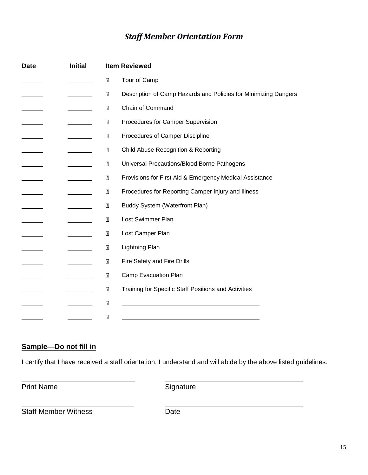### *Staff Member Orientation Form*

| <b>Date</b> | <b>Initial</b> |                         | <b>Item Reviewed</b>                                            |
|-------------|----------------|-------------------------|-----------------------------------------------------------------|
|             |                | $\overline{2}$          | Tour of Camp                                                    |
|             |                | $\overline{\mathbf{2}}$ | Description of Camp Hazards and Policies for Minimizing Dangers |
|             |                | $\overline{2}$          | Chain of Command                                                |
|             |                | $\mathbf{Z}$            | Procedures for Camper Supervision                               |
|             |                | $\overline{2}$          | Procedures of Camper Discipline                                 |
|             |                | $\overline{\mathbf{2}}$ | <b>Child Abuse Recognition &amp; Reporting</b>                  |
|             |                | $\overline{2}$          | Universal Precautions/Blood Borne Pathogens                     |
|             |                | $\overline{\mathbf{2}}$ | Provisions for First Aid & Emergency Medical Assistance         |
|             |                | $\overline{2}$          | Procedures for Reporting Camper Injury and Illness              |
|             |                | $\overline{2}$          | <b>Buddy System (Waterfront Plan)</b>                           |
|             |                | $\overline{2}$          | Lost Swimmer Plan                                               |
|             |                | $\overline{2}$          | Lost Camper Plan                                                |
|             |                | $\overline{2}$          | Lightning Plan                                                  |
|             |                | $\overline{2}$          | Fire Safety and Fire Drills                                     |
|             |                | $\overline{2}$          | Camp Evacuation Plan                                            |
|             |                | $\overline{?}$          | Training for Specific Staff Positions and Activities            |
|             |                | $\overline{\mathbf{2}}$ |                                                                 |
|             |                | $\boxed{2}$             |                                                                 |

### **Sample—Do not fill in**

I certify that I have received a staff orientation. I understand and will abide by the above listed guidelines.

Print Name Signature

Staff Member Witness Date

\_\_\_\_\_\_\_\_\_\_\_\_\_\_\_\_\_\_\_\_\_\_\_\_\_\_\_\_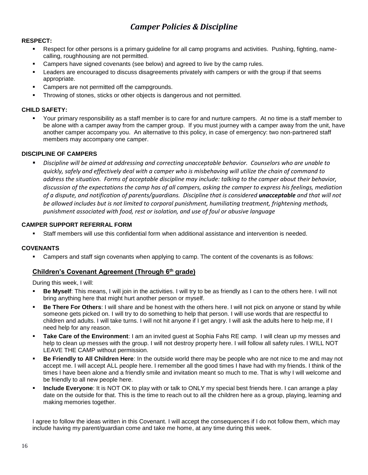### *Camper Policies & Discipline*

#### **RESPECT:**

- Respect for other persons is a primary guideline for all camp programs and activities. Pushing, fighting, namecalling, roughhousing are not permitted.
- Campers have signed covenants (see below) and agreed to live by the camp rules.
- **EXECT 2.5 Leaders are encouraged to discuss disagreements privately with campers or with the group if that seems** appropriate.
- Campers are not permitted off the campgrounds.
- Throwing of stones, sticks or other objects is dangerous and not permitted.

#### **CHILD SAFETY:**

Your primary responsibility as a staff member is to care for and nurture campers. At no time is a staff member to be alone with a camper away from the camper group. If you must journey with a camper away from the unit, have another camper accompany you. An alternative to this policy, in case of emergency: two non-partnered staff members may accompany one camper.

#### **DISCIPLINE OF CAMPERS**

▪ *Discipline will be aimed at addressing and correcting unacceptable behavior. Counselors who are unable to quickly, safely and effectively deal with a camper who is misbehaving will utilize the chain of command to address the situation. Forms of acceptable discipline may include: talking to the camper about their behavior, discussion of the expectations the camp has of all campers, asking the camper to express his feelings, mediation of a dispute, and notification of parents/guardians. Discipline that is considered unacceptable and that will not be allowed includes but is not limited to corporal punishment, humiliating treatment, frightening methods, punishment associated with food, rest or isolation, and use of foul or abusive language*

#### **CAMPER SUPPORT REFERRAL FORM**

Staff members will use this confidential form when additional assistance and intervention is needed.

#### **COVENANTS**

Campers and staff sign covenants when applying to camp. The content of the covenants is as follows:

#### **Children's Covenant Agreement (Through 6th grade)**

During this week, I will:

- **Be Myself:** This means, I will join in the activities. I will try to be as friendly as I can to the others here. I will not bring anything here that might hurt another person or myself.
- **Be There For Others**: I will share and be honest with the others here. I will not pick on anyone or stand by while someone gets picked on. I will try to do something to help that person. I will use words that are respectful to children and adults. I will take turns. I will not hit anyone if I get angry. I will ask the adults here to help me, if I need help for any reason.
- **Take Care of the Environment**: I am an invited guest at Sophia Fahs RE camp. I will clean up my messes and help to clean up messes with the group. I will not destroy property here. I will follow all safety rules. I WILL NOT LEAVE THE CAMP without permission.
- **EXECT FRIENCIST FIELD THE FIELD IN THE IN THE PRIET CHILD THE FIELD THE FIELD THE FIELD THE FIELD THE FIELD TH** accept me. I will accept ALL people here. I remember all the good times I have had with my friends. I think of the times I have been alone and a friendly smile and invitation meant so much to me. That is why I will welcome and be friendly to all new people here.
- **Include Everyone**: It is NOT OK to play with or talk to ONLY my special best friends here. I can arrange a play date on the outside for that. This is the time to reach out to all the children here as a group, playing, learning and making memories together.

I agree to follow the ideas written in this Covenant. I will accept the consequences if I do not follow them, which may include having my parent/guardian come and take me home, at any time during this week.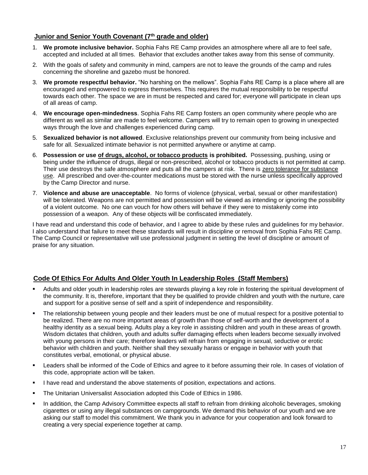#### **Junior and Senior Youth Covenant (7th grade and older)**

- 1. **We promote inclusive behavior.** Sophia Fahs RE Camp provides an atmosphere where all are to feel safe, accepted and included at all times. Behavior that excludes another takes away from this sense of community.
- 2. With the goals of safety and community in mind, campers are not to leave the grounds of the camp and rules concerning the shoreline and gazebo must be honored.
- 3. **We promote respectful behavior.** "No harshing on the mellows". Sophia Fahs RE Camp is a place where all are encouraged and empowered to express themselves. This requires the mutual responsibility to be respectful towards each other. The space we are in must be respected and cared for; everyone will participate in clean ups of all areas of camp.
- 4. **We encourage open-mindedness**. Sophia Fahs RE Camp fosters an open community where people who are different as well as similar are made to feel welcome. Campers will try to remain open to growing in unexpected ways through the love and challenges experienced during camp.
- 5. **Sexualized behavior is not allowed**. Exclusive relationships prevent our community from being inclusive and safe for all. Sexualized intimate behavior is not permitted anywhere or anytime at camp.
- 6. **Possession or use of drugs, alcohol, or tobacco products is prohibited.** Possessing, pushing, using or being under the influence of drugs, illegal or non-prescribed, alcohol or tobacco products is not permitted at camp. Their use destroys the safe atmosphere and puts all the campers at risk. There is zero tolerance for substance use. All prescribed and over-the-counter medications must be stored with the nurse unless specifically approved by the Camp Director and nurse.
- 7. **Violence and abuse are unacceptable**. No forms of violence (physical, verbal, sexual or other manifestation) will be tolerated. Weapons are not permitted and possession will be viewed as intending or ignoring the possibility of a violent outcome. No one can vouch for how others will behave if they were to mistakenly come into possession of a weapon. Any of these objects will be confiscated immediately.

I have read and understand this code of behavior, and I agree to abide by these rules and guidelines for my behavior. I also understand that failure to meet these standards will result in discipline or removal from Sophia Fahs RE Camp. The Camp Council or representative will use professional judgment in setting the level of discipline or amount of praise for any situation.

#### **Code Of Ethics For Adults And Older Youth In Leadership Roles (Staff Members)**

- Adults and older youth in leadership roles are stewards playing a key role in fostering the spiritual development of the community. It is, therefore, important that they be qualified to provide children and youth with the nurture, care and support for a positive sense of self and a spirit of independence and responsibility.
- The relationship between young people and their leaders must be one of mutual respect for a positive potential to be realized. There are no more important areas of growth than those of self-worth and the development of a healthy identity as a sexual being. Adults play a key role in assisting children and youth in these areas of growth. Wisdom dictates that children, youth and adults suffer damaging effects when leaders become sexually involved with young persons in their care; therefore leaders will refrain from engaging in sexual, seductive or erotic behavior with children and youth. Neither shall they sexually harass or engage in behavior with youth that constitutes verbal, emotional, or physical abuse.
- Leaders shall be informed of the Code of Ethics and agree to it before assuming their role. In cases of violation of this code, appropriate action will be taken.
- I have read and understand the above statements of position, expectations and actions.
- The Unitarian Universalist Association adopted this Code of Ethics in 1986.
- In addition, the Camp Advisory Committee expects all staff to refrain from drinking alcoholic beverages, smoking cigarettes or using any illegal substances on campgrounds. We demand this behavior of our youth and we are asking our staff to model this commitment. We thank you in advance for your cooperation and look forward to creating a very special experience together at camp.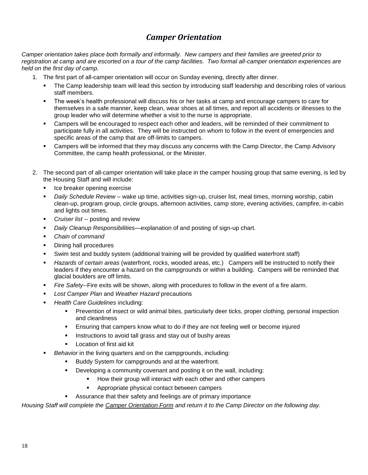### *Camper Orientation*

*Camper orientation takes place both formally and informally. New campers and their families are greeted prior to registration at camp and are escorted on a tour of the camp facilities. Two formal all-camper orientation experiences are held on the first day of camp.* 

- 1. The first part of all-camper orientation will occur on Sunday evening, directly after dinner.
	- The Camp leadership team will lead this section by introducing staff leadership and describing roles of various staff members.
	- The week's health professional will discuss his or her tasks at camp and encourage campers to care for themselves in a safe manner, keep clean, wear shoes at all times, and report all accidents or illnesses to the group leader who will determine whether a visit to the nurse is appropriate.
	- Campers will be encouraged to respect each other and leaders, will be reminded of their commitment to participate fully in all activities. They will be instructed on whom to follow in the event of emergencies and specific areas of the camp that are off-limits to campers.
	- Campers will be informed that they may discuss any concerns with the Camp Director, the Camp Advisory Committee, the camp health professional, or the Minister.
- 2. The second part of all-camper orientation will take place in the camper housing group that same evening, is led by the Housing Staff and will include:
	- **•** Ice breaker opening exercise
	- Daily Schedule Review wake up time, activities sign-up, cruiser list, meal times, morning worship, cabin clean-up, program group, circle groups, afternoon activities, camp store, evening activities, campfire, in-cabin and lights out times.
	- *Cruiser list --* posting and review
	- *Daily Cleanup Responsibilities*—explanation of and posting of sign-up chart.
	- *Chain of command*
	- Dining hall procedures
	- Swim test and buddy system (additional training will be provided by qualified waterfront staff)
	- *Hazards of certain areas* (waterfront, rocks, wooded areas, etc.) Campers will be instructed to notify their leaders if they encounter a hazard on the campgrounds or within a building. Campers will be reminded that glacial boulders are off limits.
	- Fire Safety--Fire exits will be shown, along with procedures to follow in the event of a fire alarm.
	- **Lost Camper Plan and Weather Hazard precautions**
	- **Health Care Guidelines including:** 
		- **•** Prevention of insect or wild animal bites, particularly deer ticks, proper clothing, personal inspection and cleanliness
		- **Ensuring that campers know what to do if they are not feeling well or become injured**
		- Instructions to avoid tall grass and stay out of bushy areas
		- Location of first aid kit
	- **Behavior** in the living quarters and on the campgrounds, including:
		- Buddy System for campgrounds and at the waterfront.
		- Developing a community covenant and posting it on the wall, including:
			- How their group will interact with each other and other campers
			- Appropriate physical contact between campers
			- Assurance that their safety and feelings are of primary importance

*Housing Staff will complete the Camper Orientation Form and return it to the Camp Director on the following day.*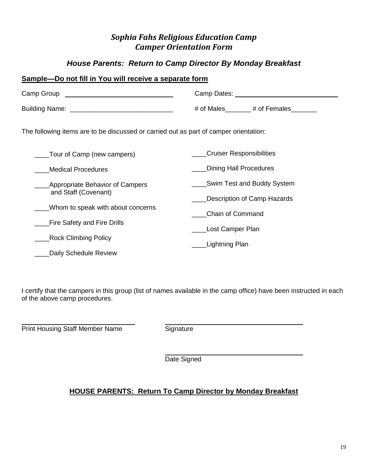### *Sophia Fahs Religious Education Camp Camper Orientation Form*

### *House Parents: Return to Camp Director By Monday Breakfast*

### **Sample—Do not fill in You will receive a separate form** Camp Group Camp Dates: \_\_\_\_\_\_\_\_\_\_\_\_\_\_\_\_\_\_\_\_\_\_\_\_\_\_\_\_ Building Name: \_\_\_\_\_\_\_\_\_\_\_\_\_\_\_\_\_\_\_\_\_\_\_\_\_\_\_\_\_\_\_\_ # of Males\_\_\_\_\_\_ # of Females\_\_\_\_\_\_ The following items are to be discussed or carried out as part of camper orientation: \_\_\_\_Tour of Camp (new campers) \_\_\_\_Medical Procedures \_\_\_\_Appropriate Behavior of Campers and Staff (Covenant) Whom to speak with about concerns \_\_\_\_Fire Safety and Fire Drills **Nock Climbing Policy** Daily Schedule Review **\_\_\_\_Cruiser Responsibilities** \_\_\_\_Dining Hall Procedures \_\_\_\_Swim Test and Buddy System Description of Camp Hazards \_\_\_\_Chain of Command Lost Camper Plan \_\_\_\_Lightning Plan

I certify that the campers in this group (list of names available in the camp office) have been instructed in each of the above camp procedures.

**Print Housing Staff Member Name Signature** 

Date Signed

### **HOUSE PARENTS: Return To Camp Director by Monday Breakfast**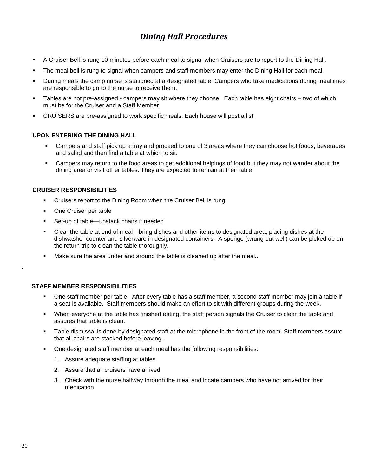### *Dining Hall Procedures*

- A Cruiser Bell is rung 10 minutes before each meal to signal when Cruisers are to report to the Dining Hall.
- The meal bell is rung to signal when campers and staff members may enter the Dining Hall for each meal.
- During meals the camp nurse is stationed at a designated table. Campers who take medications during mealtimes are responsible to go to the nurse to receive them.
- Tables are not pre-assigned campers may sit where they choose. Each table has eight chairs two of which must be for the Cruiser and a Staff Member.
- CRUISERS are pre-assigned to work specific meals. Each house will post a list.

#### **UPON ENTERING THE DINING HALL**

- Campers and staff pick up a tray and proceed to one of 3 areas where they can choose hot foods, beverages and salad and then find a table at which to sit.
- **EXEC** Campers may return to the food areas to get additional helpings of food but they may not wander about the dining area or visit other tables. They are expected to remain at their table.

#### **CRUISER RESPONSIBILITIES**

- Cruisers report to the Dining Room when the Cruiser Bell is rung
- One Cruiser per table
- Set-up of table—unstack chairs if needed
- Clear the table at end of meal—bring dishes and other items to designated area, placing dishes at the dishwasher counter and silverware in designated containers. A sponge (wrung out well) can be picked up on the return trip to clean the table thoroughly.
- Make sure the area under and around the table is cleaned up after the meal..

#### **STAFF MEMBER RESPONSIBILITIES**

- One staff member per table. After every table has a staff member, a second staff member may join a table if a seat is available. Staff members should make an effort to sit with different groups during the week.
- When everyone at the table has finished eating, the staff person signals the Cruiser to clear the table and assures that table is clean.
- Table dismissal is done by designated staff at the microphone in the front of the room. Staff members assure that all chairs are stacked before leaving.
- One designated staff member at each meal has the following responsibilities:
	- 1. Assure adequate staffing at tables
	- 2. Assure that all cruisers have arrived
	- 3. Check with the nurse halfway through the meal and locate campers who have not arrived for their medication

.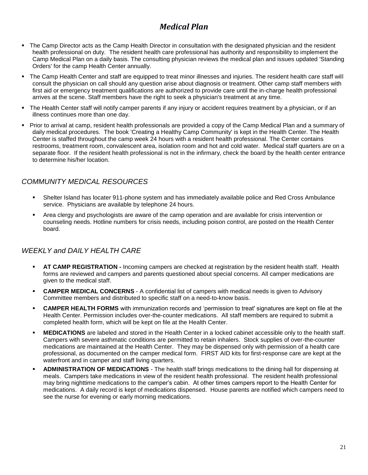### *Medical Plan*

- The Camp Director acts as the Camp Health Director in consultation with the designated physician and the resident health professional on duty. The resident health care professional has authority and responsibility to implement the Camp Medical Plan on a daily basis. The consulting physician reviews the medical plan and issues updated 'Standing Orders' for the camp Health Center annually.
- The Camp Health Center and staff are equipped to treat minor illnesses and injuries. The resident health care staff will consult the physician on call should any question arise about diagnosis or treatment. Other camp staff members with first aid or emergency treatment qualifications are authorized to provide care until the in-charge health professional arrives at the scene. Staff members have the right to seek a physician's treatment at any time.
- The Health Center staff will notify camper parents if any injury or accident requires treatment by a physician, or if an illness continues more than one day.
- Prior to arrival at camp, resident health professionals are provided a copy of the Camp Medical Plan and a summary of daily medical procedures. The book 'Creating a Healthy Camp Community' is kept in the Health Center. The Health Center is staffed throughout the camp week 24 hours with a resident health professional. The Center contains restrooms, treatment room, convalescent area, isolation room and hot and cold water. Medical staff quarters are on a separate floor. If the resident health professional is not in the infirmary, check the board by the health center entrance to determine his/her location.

### *COMMUNITY MEDICAL RESOURCES*

- Shelter Island has locater 911-phone system and has immediately available police and Red Cross Ambulance service. Physicians are available by telephone 24 hours.
- Area clergy and psychologists are aware of the camp operation and are available for crisis intervention or counseling needs. Hotline numbers for crisis needs, including poison control, are posted on the Health Center board.

### *WEEKLY and DAILY HEALTH CARE*

- **AT CAMP REGISTRATION -** Incoming campers are checked at registration by the resident health staff. Health forms are reviewed and campers and parents questioned about special concerns. All camper medications are given to the medical staff.
- **CAMPER MEDICAL CONCERNS** A confidential list of campers with medical needs is given to Advisory Committee members and distributed to specific staff on a need-to-know basis.
- **CAMPER HEALTH FORMS** with immunization records and 'permission to treat' signatures are kept on file at the Health Center. Permission includes over-the-counter medications. All staff members are required to submit a completed health form, which will be kept on file at the Health Center.
- **MEDICATIONS** are labeled and stored in the Health Center in a locked cabinet accessible only to the health staff. Campers with severe asthmatic conditions are permitted to retain inhalers. Stock supplies of over-the-counter medications are maintained at the Health Center. They may be dispensed only with permission of a health care professional, as documented on the camper medical form. FIRST AID kits for first-response care are kept at the waterfront and in camper and staff living quarters.
- **ADMINISTRATION OF MEDICATIONS** The health staff brings medications to the dining hall for dispensing at meals. Campers take medications in view of the resident health professional. The resident health professional may bring nighttime medications to the camper's cabin. At other times campers report to the Health Center for medications. A daily record is kept of medications dispensed. House parents are notified which campers need to see the nurse for evening or early morning medications.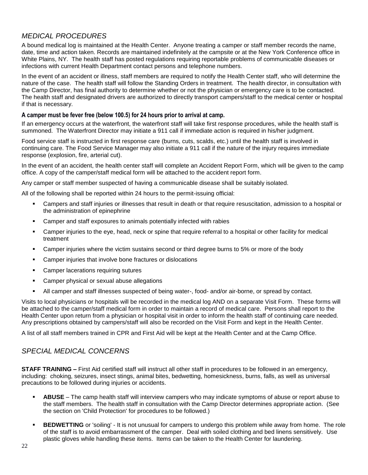### *MEDICAL PROCEDURES*

A bound medical log is maintained at the Health Center. Anyone treating a camper or staff member records the name, date, time and action taken. Records are maintained indefinitely at the campsite or at the New York Conference office in White Plains, NY. The health staff has posted regulations requiring reportable problems of communicable diseases or infections with current Health Department contact persons and telephone numbers.

In the event of an accident or illness, staff members are required to notify the Health Center staff, who will determine the nature of the case. The health staff will follow the Standing Orders in treatment. The health director, in consultation with the Camp Director, has final authority to determine whether or not the physician or emergency care is to be contacted. The health staff and designated drivers are authorized to directly transport campers/staff to the medical center or hospital if that is necessary.

#### **A camper must be fever free (below 100.5) for 24 hours prior to arrival at camp.**

If an emergency occurs at the waterfront, the waterfront staff will take first response procedures, while the health staff is summoned. The Waterfront Director may initiate a 911 call if immediate action is required in his/her judgment.

Food service staff is instructed in first response care (burns, cuts, scalds, etc.) until the health staff is involved in continuing care. The Food Service Manager may also initiate a 911 call if the nature of the injury requires immediate response (explosion, fire, arterial cut).

In the event of an accident, the health center staff will complete an Accident Report Form, which will be given to the camp office. A copy of the camper/staff medical form will be attached to the accident report form.

Any camper or staff member suspected of having a communicable disease shall be suitably isolated.

All of the following shall be reported within 24 hours to the permit-issuing official:

- Campers and staff injuries or illnesses that result in death or that require resuscitation, admission to a hospital or the administration of epinephrine
- Camper and staff exposures to animals potentially infected with rabies
- **•** Camper injuries to the eye, head, neck or spine that require referral to a hospital or other facility for medical treatment
- Camper injuries where the victim sustains second or third degree burns to 5% or more of the body
- Camper injuries that involve bone fractures or dislocations
- Camper lacerations requiring sutures
- Camper physical or sexual abuse allegations
- All camper and staff illnesses suspected of being water-, food- and/or air-borne, or spread by contact.

Visits to local physicians or hospitals will be recorded in the medical log AND on a separate Visit Form. These forms will be attached to the camper/staff medical form in order to maintain a record of medical care. Persons shall report to the Health Center upon return from a physician or hospital visit in order to inform the health staff of continuing care needed. Any prescriptions obtained by campers/staff will also be recorded on the Visit Form and kept in the Health Center.

A list of all staff members trained in CPR and First Aid will be kept at the Health Center and at the Camp Office.

#### *SPECIAL MEDICAL CONCERNS*

**STAFF TRAINING –** First Aid certified staff will instruct all other staff in procedures to be followed in an emergency, including: choking, seizures, insect stings, animal bites, bedwetting, homesickness, burns, falls, as well as universal precautions to be followed during injuries or accidents.

- **EXECT BUSE** The camp health staff will interview campers who may indicate symptoms of abuse or report abuse to the staff members. The health staff in consultation with the Camp Director determines appropriate action. (See the section on 'Child Protection' for procedures to be followed.)
- **BEDWETTING** or 'soiling' It is not unusual for campers to undergo this problem while away from home. The role of the staff is to avoid embarrassment of the camper. Deal with soiled clothing and bed linens sensitively. Use plastic gloves while handling these items. Items can be taken to the Health Center for laundering.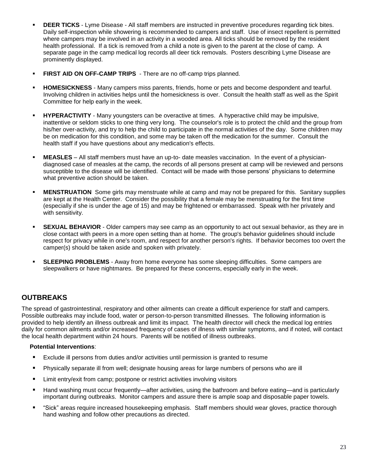- **DEER TICKS** Lyme Disease All staff members are instructed in preventive procedures regarding tick bites. Daily self-inspection while showering is recommended to campers and staff. Use of insect repellent is permitted where campers may be involved in an activity in a wooded area. All ticks should be removed by the resident health professional. If a tick is removed from a child a note is given to the parent at the close of camp. A separate page in the camp medical log records all deer tick removals. Posters describing Lyme Disease are prominently displayed.
- **EIRST AID ON OFF-CAMP TRIPS** There are no off-camp trips planned.
- **HOMESICKNESS** Many campers miss parents, friends, home or pets and become despondent and tearful. Involving children in activities helps until the homesickness is over. Consult the health staff as well as the Spirit Committee for help early in the week.
- **HYPERACTIVITY** Many youngsters can be overactive at times. A hyperactive child may be impulsive, inattentive or seldom sticks to one thing very long. The counselor's role is to protect the child and the group from his/her over-activity, and try to help the child to participate in the normal activities of the day. Some children may be on medication for this condition, and some may be taken off the medication for the summer. Consult the health staff if you have questions about any medication's effects.
- **MEASLES** All staff members must have an up-to- date measles vaccination. In the event of a physiciandiagnosed case of measles at the camp, the records of all persons present at camp will be reviewed and persons susceptible to the disease will be identified. Contact will be made with those persons' physicians to determine what preventive action should be taken.
- **MENSTRUATION** Some girls may menstruate while at camp and may not be prepared for this. Sanitary supplies are kept at the Health Center. Consider the possibility that a female may be menstruating for the first time (especially if she is under the age of 15) and may be frightened or embarrassed. Speak with her privately and with sensitivity.
- **SEXUAL BEHAVIOR** Older campers may see camp as an opportunity to act out sexual behavior, as they are in close contact with peers in a more open setting than at home. The group's behavior guidelines should include respect for privacy while in one's room, and respect for another person's rights. If behavior becomes too overt the camper(s) should be taken aside and spoken with privately.
- **SLEEPING PROBLEMS** Away from home everyone has some sleeping difficulties. Some campers are sleepwalkers or have nightmares. Be prepared for these concerns, especially early in the week.

### **OUTBREAKS**

The spread of gastrointestinal, respiratory and other ailments can create a difficult experience for staff and campers. Possible outbreaks may include food, water or person-to-person transmitted illnesses. The following information is provided to help identify an illness outbreak and limit its impact. The health director will check the medical log entries daily for common ailments and/or increased frequency of cases of illness with similar symptoms, and if noted, will contact the local health department within 24 hours. Parents will be notified of illness outbreaks.

#### **Potential Interventions**:

- Exclude ill persons from duties and/or activities until permission is granted to resume
- Physically separate ill from well; designate housing areas for large numbers of persons who are ill
- **E** Limit entry/exit from camp; postpone or restrict activities involving visitors
- Hand washing must occur frequently—after activities, using the bathroom and before eating—and is particularly important during outbreaks. Monitor campers and assure there is ample soap and disposable paper towels.
- "Sick" areas require increased housekeeping emphasis. Staff members should wear gloves, practice thorough hand washing and follow other precautions as directed.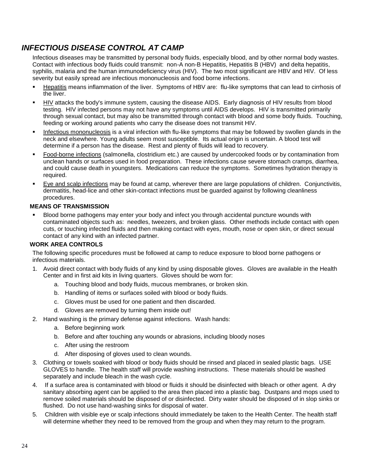### *INFECTIOUS DISEASE CONTROL AT CAMP*

Infectious diseases may be transmitted by personal body fluids, especially blood, and by other normal body wastes. Contact with infectious body fluids could transmit: non-A non-B Hepatitis, Hepatitis B (HBV) and delta hepatitis, syphilis, malaria and the human immunodeficiency virus (HIV). The two most significant are HBV and HIV. Of less severity but easily spread are infectious mononucleosis and food borne infections.

- Hepatitis means inflammation of the liver. Symptoms of HBV are: flu-like symptoms that can lead to cirrhosis of the liver.
- HIV attacks the body's immune system, causing the disease AIDS. Early diagnosis of HIV results from blood testing. HIV infected persons may not have any symptoms until AIDS develops. HIV is transmitted primarily through sexual contact, but may also be transmitted through contact with blood and some body fluids. Touching, feeding or working around patients who carry the disease does not transmit HIV.
- Infectious mononucleosis is a viral infection with flu-like symptoms that may be followed by swollen glands in the neck and elsewhere. Young adults seem most susceptible. Its actual origin is uncertain. A blood test will determine if a person has the disease. Rest and plenty of fluids will lead to recovery.
- Food-borne infections (salmonella, clostridium etc.) are caused by undercooked foods or by contamination from unclean hands or surfaces used in food preparation. These infections cause severe stomach cramps, diarrhea, and could cause death in youngsters. Medications can reduce the symptoms. Sometimes hydration therapy is required.
- Eye and scalp infections may be found at camp, wherever there are large populations of children. Conjunctivitis, dermatitis, head-lice and other skin-contact infections must be guarded against by following cleanliness procedures.

#### **MEANS OF TRANSMISSION**

Blood borne pathogens may enter your body and infect you through accidental puncture wounds with contaminated objects such as: needles, tweezers, and broken glass. Other methods include contact with open cuts, or touching infected fluids and then making contact with eyes, mouth, nose or open skin, or direct sexual contact of any kind with an infected partner.

#### **WORK AREA CONTROLS**

The following specific procedures must be followed at camp to reduce exposure to blood borne pathogens or infectious materials.

- 1. Avoid direct contact with body fluids of any kind by using disposable gloves. Gloves are available in the Health Center and in first aid kits in living quarters. Gloves should be worn for:
	- a. Touching blood and body fluids, mucous membranes, or broken skin.
	- b. Handling of items or surfaces soiled with blood or body fluids.
	- c. Gloves must be used for one patient and then discarded.
	- d. Gloves are removed by turning them inside out!
- 2. Hand washing is the primary defense against infections. Wash hands:
	- a. Before beginning work
	- b. Before and after touching any wounds or abrasions, including bloody noses
	- c. After using the restroom
	- d. After disposing of gloves used to clean wounds.
- 3. Clothing or towels soaked with blood or body fluids should be rinsed and placed in sealed plastic bags. USE GLOVES to handle. The health staff will provide washing instructions. These materials should be washed separately and include bleach in the wash cycle.
- 4. If a surface area is contaminated with blood or fluids it should be disinfected with bleach or other agent. A dry sanitary absorbing agent can be applied to the area then placed into a plastic bag. Dustpans and mops used to remove soiled materials should be disposed of or disinfected. Dirty water should be disposed of in slop sinks or flushed. Do not use hand-washing sinks for disposal of water.
- 5. Children with visible eye or scalp infections should immediately be taken to the Health Center. The health staff will determine whether they need to be removed from the group and when they may return to the program.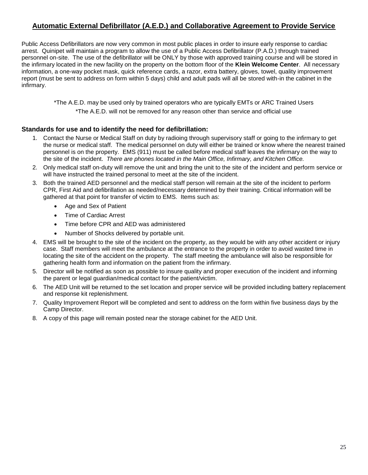### **Automatic External Defibrillator (A.E.D.) and Collaborative Agreement to Provide Service**

Public Access Defibrillators are now very common in most public places in order to insure early response to cardiac arrest. Quinipet will maintain a program to allow the use of a Public Access Defibrillator (P.A.D.) through trained personnel on-site. The use of the defibrillator will be ONLY by those with approved training course and will be stored in the infirmary located in the new facility on the property on the bottom floor of the **Klein Welcome Center**. All necessary information, a one-way pocket mask, quick reference cards, a razor, extra battery, gloves, towel, quality improvement report (must be sent to address on form within 5 days) child and adult pads will all be stored with-in the cabinet in the infirmary.

> \*The A.E.D. may be used only by trained operators who are typically EMTs or ARC Trained Users \*The A.E.D. will not be removed for any reason other than service and official use

#### **Standards for use and to identify the need for defibrillation:**

- 1. Contact the Nurse or Medical Staff on duty by radioing through supervisory staff or going to the infirmary to get the nurse or medical staff. The medical personnel on duty will either be trained or know where the nearest trained personnel is on the property. EMS (911) must be called before medical staff leaves the infirmary on the way to the site of the incident. *There are phones located in the Main Office, Infirmary, and Kitchen Office.*
- 2. Only medical staff on-duty will remove the unit and bring the unit to the site of the incident and perform service or will have instructed the trained personal to meet at the site of the incident.
- 3. Both the trained AED personnel and the medical staff person will remain at the site of the incident to perform CPR, First Aid and defibrillation as needed/necessary determined by their training. Critical information will be gathered at that point for transfer of victim to EMS. Items such as:
	- Age and Sex of Patient
	- Time of Cardiac Arrest
	- Time before CPR and AED was administered
	- Number of Shocks delivered by portable unit.
- 4. EMS will be brought to the site of the incident on the property, as they would be with any other accident or injury case. Staff members will meet the ambulance at the entrance to the property in order to avoid wasted time in locating the site of the accident on the property. The staff meeting the ambulance will also be responsible for gathering health form and information on the patient from the infirmary.
- 5. Director will be notified as soon as possible to insure quality and proper execution of the incident and informing the parent or legal guardian/medical contact for the patient/victim.
- 6. The AED Unit will be returned to the set location and proper service will be provided including battery replacement and response kit replenishment.
- 7. Quality Improvement Report will be completed and sent to address on the form within five business days by the Camp Director.
- 8. A copy of this page will remain posted near the storage cabinet for the AED Unit.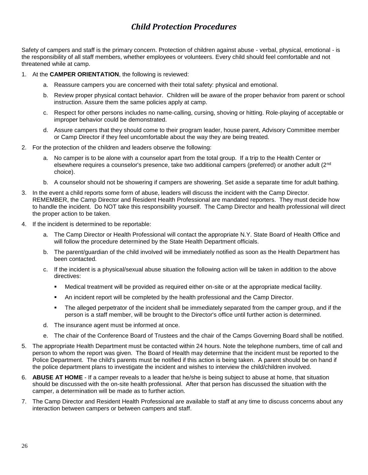### *Child Protection Procedures*

Safety of campers and staff is the primary concern. Protection of children against abuse - verbal, physical, emotional - is the responsibility of all staff members, whether employees or volunteers. Every child should feel comfortable and not threatened while at camp.

- 1. At the **CAMPER ORIENTATION**, the following is reviewed:
	- a. Reassure campers you are concerned with their total safety: physical and emotional.
	- b. Review proper physical contact behavior. Children will be aware of the proper behavior from parent or school instruction. Assure them the same policies apply at camp.
	- c. Respect for other persons includes no name-calling, cursing, shoving or hitting. Role-playing of acceptable or improper behavior could be demonstrated.
	- d. Assure campers that they should come to their program leader, house parent, Advisory Committee member or Camp Director if they feel uncomfortable about the way they are being treated.
- 2. For the protection of the children and leaders observe the following:
	- a. No camper is to be alone with a counselor apart from the total group. If a trip to the Health Center or elsewhere requires a counselor's presence, take two additional campers (preferred) or another adult (2nd choice).
	- b. A counselor should not be showering if campers are showering. Set aside a separate time for adult bathing.
- 3. In the event a child reports some form of abuse, leaders will discuss the incident with the Camp Director. REMEMBER, the Camp Director and Resident Health Professional are mandated reporters. They must decide how to handle the incident. Do NOT take this responsibility yourself. The Camp Director and health professional will direct the proper action to be taken.
- 4. If the incident is determined to be reportable:
	- a. The Camp Director or Health Professional will contact the appropriate N.Y. State Board of Health Office and will follow the procedure determined by the State Health Department officials.
	- b. The parent/guardian of the child involved will be immediately notified as soon as the Health Department has been contacted.
	- c. If the incident is a physical/sexual abuse situation the following action will be taken in addition to the above directives:
		- **•** Medical treatment will be provided as required either on-site or at the appropriate medical facility.
		- **An incident report will be completed by the health professional and the Camp Director.**
		- The alleged perpetrator of the incident shall be immediately separated from the camper group, and if the person is a staff member, will be brought to the Director's office until further action is determined.
	- d. The insurance agent must be informed at once.
	- e. The chair of the Conference Board of Trustees and the chair of the Camps Governing Board shall be notified.
- 5. The appropriate Health Department must be contacted within 24 hours. Note the telephone numbers, time of call and person to whom the report was given. The Board of Health may determine that the incident must be reported to the Police Department. The child's parents must be notified if this action is being taken. A parent should be on hand if the police department plans to investigate the incident and wishes to interview the child/children involved.
- 6. **ABUSE AT HOME**  If a camper reveals to a leader that he/she is being subject to abuse at home, that situation should be discussed with the on-site health professional. After that person has discussed the situation with the camper, a determination will be made as to further action.
- 7. The Camp Director and Resident Health Professional are available to staff at any time to discuss concerns about any interaction between campers or between campers and staff.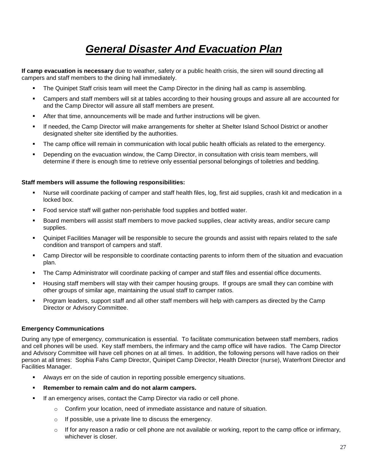# *General Disaster And Evacuation Plan*

**If camp evacuation is necessary** due to weather, safety or a public health crisis, the siren will sound directing all campers and staff members to the dining hall immediately.

- The Quinipet Staff crisis team will meet the Camp Director in the dining hall as camp is assembling.
- Campers and staff members will sit at tables according to their housing groups and assure all are accounted for and the Camp Director will assure all staff members are present.
- **•** After that time, announcements will be made and further instructions will be given.
- If needed, the Camp Director will make arrangements for shelter at Shelter Island School District or another designated shelter site identified by the authorities.
- The camp office will remain in communication with local public health officials as related to the emergency.
- Depending on the evacuation window, the Camp Director, in consultation with crisis team members, will determine if there is enough time to retrieve only essential personal belongings of toiletries and bedding.

#### **Staff members will assume the following responsibilities:**

- Nurse will coordinate packing of camper and staff health files, log, first aid supplies, crash kit and medication in a locked box.
- Food service staff will gather non-perishable food supplies and bottled water.
- Board members will assist staff members to move packed supplies, clear activity areas, and/or secure camp supplies.
- Quinipet Facilities Manager will be responsible to secure the grounds and assist with repairs related to the safe condition and transport of campers and staff.
- **•** Camp Director will be responsible to coordinate contacting parents to inform them of the situation and evacuation plan.
- The Camp Administrator will coordinate packing of camper and staff files and essential office documents.
- Housing staff members will stay with their camper housing groups. If groups are small they can combine with other groups of similar age, maintaining the usual staff to camper ratios.
- Program leaders, support staff and all other staff members will help with campers as directed by the Camp Director or Advisory Committee.

#### **Emergency Communications**

During any type of emergency, communication is essential. To facilitate communication between staff members, radios and cell phones will be used. Key staff members, the infirmary and the camp office will have radios. The Camp Director and Advisory Committee will have cell phones on at all times. In addition, the following persons will have radios on their person at all times: Sophia Fahs Camp Director, Quinipet Camp Director, Health Director (nurse), Waterfront Director and Facilities Manager.

- Always err on the side of caution in reporting possible emergency situations.
- Remember to remain calm and do not alarm campers.
- If an emergency arises, contact the Camp Director via radio or cell phone.
	- $\circ$  Confirm your location, need of immediate assistance and nature of situation.
	- o If possible, use a private line to discuss the emergency.
	- $\circ$  If for any reason a radio or cell phone are not available or working, report to the camp office or infirmary, whichever is closer.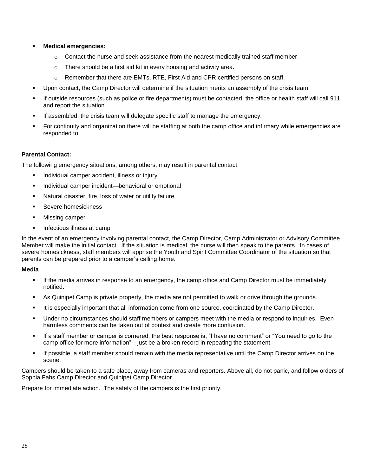- **Medical emergencies:** 
	- $\circ$  Contact the nurse and seek assistance from the nearest medically trained staff member.
	- o There should be a first aid kit in every housing and activity area.
	- $\circ$  Remember that there are EMTs, RTE, First Aid and CPR certified persons on staff.
- Upon contact, the Camp Director will determine if the situation merits an assembly of the crisis team.
- If outside resources (such as police or fire departments) must be contacted, the office or health staff will call 911 and report the situation.
- If assembled, the crisis team will delegate specific staff to manage the emergency.
- For continuity and organization there will be staffing at both the camp office and infirmary while emergencies are responded to.

#### **Parental Contact:**

The following emergency situations, among others, may result in parental contact:

- Individual camper accident, illness or injury
- Individual camper incident—behavioral or emotional
- Natural disaster, fire, loss of water or utility failure
- Severe homesickness
- **Missing camper**
- Infectious illness at camp

In the event of an emergency involving parental contact, the Camp Director, Camp Administrator or Advisory Committee Member will make the initial contact. If the situation is medical, the nurse will then speak to the parents. In cases of severe homesickness, staff members will apprise the Youth and Spirit Committee Coordinator of the situation so that parents can be prepared prior to a camper's calling home.

#### **Media**

- **•** If the media arrives in response to an emergency, the camp office and Camp Director must be immediately notified.
- As Quinipet Camp is private property, the media are not permitted to walk or drive through the grounds.
- It is especially important that all information come from one source, coordinated by the Camp Director.
- Under no circumstances should staff members or campers meet with the media or respond to inquiries. Even harmless comments can be taken out of context and create more confusion.
- If a staff member or camper is cornered, the best response is, "I have no comment" or "You need to go to the camp office for more information"—just be a broken record in repeating the statement.
- If possible, a staff member should remain with the media representative until the Camp Director arrives on the scene.

Campers should be taken to a safe place, away from cameras and reporters. Above all, do not panic, and follow orders of Sophia Fahs Camp Director and Quinipet Camp Director.

Prepare for immediate action. The safety of the campers is the first priority.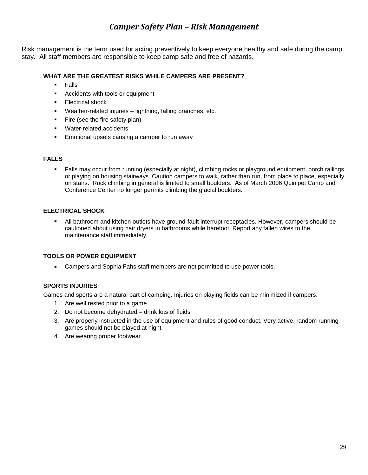### *Camper Safety Plan – Risk Management*

Risk management is the term used for acting preventively to keep everyone healthy and safe during the camp stay. All staff members are responsible to keep camp safe and free of hazards.

#### **WHAT ARE THE GREATEST RISKS WHILE CAMPERS ARE PRESENT?**

- Falls
- Accidents with tools or equipment
- Electrical shock
- Weather-related injuries lightning, falling branches, etc.
- **•** Fire (see the fire safety plan)
- Water-related accidents
- Emotional upsets causing a camper to run away

#### **FALLS**

▪ Falls may occur from running (especially at night), climbing rocks or playground equipment, porch railings, or playing on housing stairways. Caution campers to walk, rather than run, from place to place, especially on stairs. Rock climbing in general is limited to small boulders. As of March 2006 Quinipet Camp and Conference Center no longer permits climbing the glacial boulders.

#### **ELECTRICAL SHOCK**

■ All bathroom and kitchen outlets have ground-fault interrupt receptacles. However, campers should be cautioned about using hair dryers in bathrooms while barefoot. Report any fallen wires to the maintenance staff immediately.

#### **TOOLS OR POWER EQUIPMENT**

■ Campers and Sophia Fahs staff members are not permitted to use power tools.

#### **SPORTS INJURIES**

Games and sports are a natural part of camping. Injuries on playing fields can be minimized if campers:

- 1. Are well rested prior to a game
- 2. Do not become dehydrated drink lots of fluids
- 3. Are properly instructed in the use of equipment and rules of good conduct. Very active, random running games should not be played at night.
- 4. Are wearing proper footwear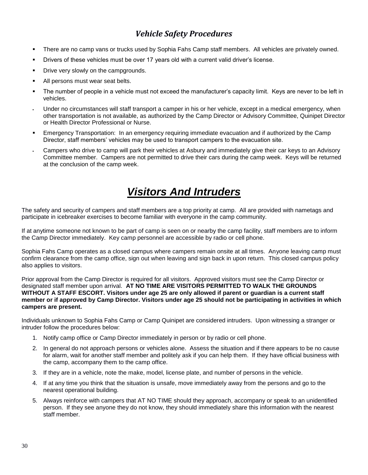### *Vehicle Safety Procedures*

- There are no camp vans or trucks used by Sophia Fahs Camp staff members. All vehicles are privately owned.
- Drivers of these vehicles must be over 17 years old with a current valid driver's license.
- Drive very slowly on the campgrounds.
- All persons must wear seat belts.
- The number of people in a vehicle must not exceed the manufacturer's capacity limit. Keys are never to be left in vehicles.
- Under no circumstances will staff transport a camper in his or her vehicle, except in a medical emergency, when other transportation is not available, as authorized by the Camp Director or Advisory Committee, Quinipet Director or Health Director Professional or Nurse.
- Emergency Transportation: In an emergency requiring immediate evacuation and if authorized by the Camp Director, staff members' vehicles may be used to transport campers to the evacuation site.
- Campers who drive to camp will park their vehicles at Asbury and immediately give their car keys to an Advisory Committee member. Campers are not permitted to drive their cars during the camp week. Keys will be returned at the conclusion of the camp week.

## *Visitors And Intruders*

The safety and security of campers and staff members are a top priority at camp. All are provided with nametags and participate in icebreaker exercises to become familiar with everyone in the camp community.

If at anytime someone not known to be part of camp is seen on or nearby the camp facility, staff members are to inform the Camp Director immediately. Key camp personnel are accessible by radio or cell phone.

Sophia Fahs Camp operates as a closed campus where campers remain onsite at all times. Anyone leaving camp must confirm clearance from the camp office, sign out when leaving and sign back in upon return. This closed campus policy also applies to visitors.

Prior approval from the Camp Director is required for all visitors. Approved visitors must see the Camp Director or designated staff member upon arrival. **AT NO TIME ARE VISITORS PERMITTED TO WALK THE GROUNDS WITHOUT A STAFF ESCORT. Visitors under age 25 are only allowed if parent or guardian is a current staff member or if approved by Camp Director. Visitors under age 25 should not be participating in activities in which campers are present.**

Individuals unknown to Sophia Fahs Camp or Camp Quinipet are considered intruders. Upon witnessing a stranger or intruder follow the procedures below:

- 1. Notify camp office or Camp Director immediately in person or by radio or cell phone.
- 2. In general do not approach persons or vehicles alone. Assess the situation and if there appears to be no cause for alarm, wait for another staff member and politely ask if you can help them. If they have official business with the camp, accompany them to the camp office.
- 3. If they are in a vehicle, note the make, model, license plate, and number of persons in the vehicle.
- 4. If at any time you think that the situation is unsafe, move immediately away from the persons and go to the nearest operational building.
- 5. Always reinforce with campers that AT NO TIME should they approach, accompany or speak to an unidentified person. If they see anyone they do not know, they should immediately share this information with the nearest staff member.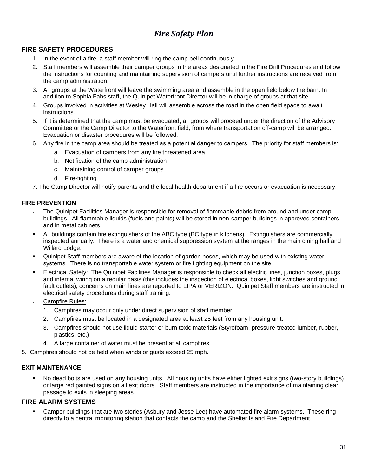### *Fire Safety Plan*

#### **FIRE SAFETY PROCEDURES**

- 1. In the event of a fire, a staff member will ring the camp bell continuously.
- 2. Staff members will assemble their camper groups in the areas designated in the Fire Drill Procedures and follow the instructions for counting and maintaining supervision of campers until further instructions are received from the camp administration.
- 3. All groups at the Waterfront will leave the swimming area and assemble in the open field below the barn. In addition to Sophia Fahs staff, the Quinipet Waterfront Director will be in charge of groups at that site.
- 4. Groups involved in activities at Wesley Hall will assemble across the road in the open field space to await instructions.
- 5. If it is determined that the camp must be evacuated, all groups will proceed under the direction of the Advisory Committee or the Camp Director to the Waterfront field, from where transportation off-camp will be arranged. Evacuation or disaster procedures will be followed.
- 6. Any fire in the camp area should be treated as a potential danger to campers. The priority for staff members is:
	- a. Evacuation of campers from any fire threatened area
	- b. Notification of the camp administration
	- c. Maintaining control of camper groups
	- d. Fire-fighting
- 7. The Camp Director will notify parents and the local health department if a fire occurs or evacuation is necessary.

#### **FIRE PREVENTION**

- The Quinipet Facilities Manager is responsible for removal of flammable debris from around and under camp buildings. All flammable liquids (fuels and paints) will be stored in non-camper buildings in approved containers and in metal cabinets.
- All buildings contain fire extinguishers of the ABC type (BC type in kitchens). Extinguishers are commercially inspected annually. There is a water and chemical suppression system at the ranges in the main dining hall and Willard Lodge.
- Quinipet Staff members are aware of the location of garden hoses, which may be used with existing water systems. There is no transportable water system or fire fighting equipment on the site.
- Electrical Safety: The Quinipet Facilities Manager is responsible to check all electric lines, junction boxes, plugs and internal wiring on a regular basis (this includes the inspection of electrical boxes, light switches and ground fault outlets); concerns on main lines are reported to LIPA or VERIZON. Quinipet Staff members are instructed in electrical safety procedures during staff training.
- Campfire Rules:
	- 1. Campfires may occur only under direct supervision of staff member
	- 2. Campfires must be located in a designated area at least 25 feet from any housing unit.
	- 3. Campfires should not use liquid starter or burn toxic materials (Styrofoam, pressure-treated lumber, rubber, plastics, etc.)
	- 4. A large container of water must be present at all campfires.
- 5. Campfires should not be held when winds or gusts exceed 25 mph.

#### **EXIT MAINTENANCE**

■ No dead bolts are used on any housing units. All housing units have either lighted exit signs (two-story buildings) or large red painted signs on all exit doors. Staff members are instructed in the importance of maintaining clear passage to exits in sleeping areas.

#### **FIRE ALARM SYSTEMS**

Camper buildings that are two stories (Asbury and Jesse Lee) have automated fire alarm systems. These ring directly to a central monitoring station that contacts the camp and the Shelter Island Fire Department.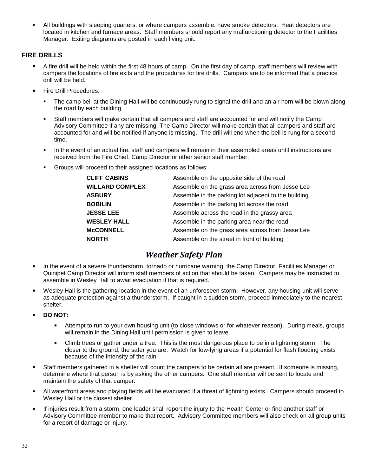All buildings with sleeping quarters, or where campers assemble, have smoke detectors. Heat detectors are located in kitchen and furnace areas. Staff members should report any malfunctioning detector to the Facilities Manager. Exiting diagrams are posted in each living unit.

#### **FIRE DRILLS**

- A fire drill will be held within the first 48 hours of camp. On the first day of camp, staff members will review with campers the locations of fire exits and the procedures for fire drills. Campers are to be informed that a practice drill will be held.
- Fire Drill Procedures:
	- The camp bell at the Dining Hall will be continuously rung to signal the drill and an air horn will be blown along the road by each building.
	- Staff members will make certain that all campers and staff are accounted for and will notify the Camp Advisory Committee if any are missing. The Camp Director will make certain that all campers and staff are accounted for and will be notified if anyone is missing. The drill will end when the bell is rung for a second time.
	- In the event of an actual fire, staff and campers will remain in their assembled areas until instructions are received from the Fire Chief, Camp Director or other senior staff member.
	- Groups will proceed to their assigned locations as follows:

| <b>CLIFF CABINS</b>    | Assemble on the opposite side of the road            |
|------------------------|------------------------------------------------------|
| <b>WILLARD COMPLEX</b> | Assemble on the grass area across from Jesse Lee     |
| <b>ASBURY</b>          | Assemble in the parking lot adjacent to the building |
| <b>BOBILIN</b>         | Assemble in the parking lot across the road          |
| <b>JESSE LEE</b>       | Assemble across the road in the grassy area          |
| <b>WESLEY HALL</b>     | Assemble in the parking area near the road           |
| <b>McCONNELL</b>       | Assemble on the grass area across from Jesse Lee     |
| <b>NORTH</b>           | Assemble on the street in front of building          |

### *Weather Safety Plan*

- In the event of a severe thunderstorm, tornado or hurricane warning, the Camp Director, Facilities Manager or Quinipet Camp Director will inform staff members of action that should be taken. Campers may be instructed to assemble in Wesley Hall to await evacuation if that is required.
- Wesley Hall is the gathering location in the event of an unforeseen storm. However, any housing unit will serve as adequate protection against a thunderstorm. If caught in a sudden storm, proceed immediately to the nearest shelter.
- **DO NOT:** 
	- Attempt to run to your own housing unit (to close windows or for whatever reason). During meals, groups will remain in the Dining Hall until permission is given to leave.
	- Climb trees or gather under a tree. This is the most dangerous place to be in a lightning storm. The closer to the ground, the safer you are. Watch for low-lying areas if a potential for flash flooding exists because of the intensity of the rain.
- Staff members gathered in a shelter will count the campers to be certain all are present. If someone is missing, determine where that person is by asking the other campers. One staff member will be sent to locate and maintain the safety of that camper.
- All waterfront areas and playing fields will be evacuated if a threat of lightning exists. Campers should proceed to Wesley Hall or the closest shelter.
- If injuries result from a storm, one leader shall report the injury to the Health Center or find another staff or Advisory Committee member to make that report. Advisory Committee members will also check on all group units for a report of damage or injury.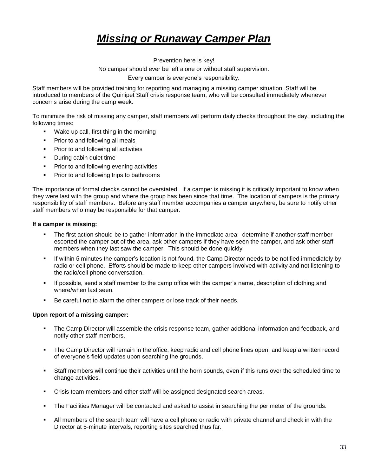# *Missing or Runaway Camper Plan*

Prevention here is key! No camper should ever be left alone or without staff supervision. Every camper is everyone's responsibility.

Staff members will be provided training for reporting and managing a missing camper situation. Staff will be introduced to members of the Quinipet Staff crisis response team, who will be consulted immediately whenever concerns arise during the camp week.

To minimize the risk of missing any camper, staff members will perform daily checks throughout the day, including the following times:

- Wake up call, first thing in the morning
- Prior to and following all meals
- Prior to and following all activities
- During cabin quiet time
- Prior to and following evening activities
- Prior to and following trips to bathrooms

The importance of formal checks cannot be overstated. If a camper is missing it is critically important to know when they were last with the group and where the group has been since that time. The location of campers is the primary responsibility of staff members. Before any staff member accompanies a camper anywhere, be sure to notify other staff members who may be responsible for that camper.

#### **If a camper is missing:**

- The first action should be to gather information in the immediate area: determine if another staff member escorted the camper out of the area, ask other campers if they have seen the camper, and ask other staff members when they last saw the camper. This should be done quickly.
- If within 5 minutes the camper's location is not found, the Camp Director needs to be notified immediately by radio or cell phone. Efforts should be made to keep other campers involved with activity and not listening to the radio/cell phone conversation.
- If possible, send a staff member to the camp office with the camper's name, description of clothing and where/when last seen.
- Be careful not to alarm the other campers or lose track of their needs.

#### **Upon report of a missing camper:**

- The Camp Director will assemble the crisis response team, gather additional information and feedback, and notify other staff members.
- The Camp Director will remain in the office, keep radio and cell phone lines open, and keep a written record of everyone's field updates upon searching the grounds.
- Staff members will continue their activities until the horn sounds, even if this runs over the scheduled time to change activities.
- Crisis team members and other staff will be assigned designated search areas.
- The Facilities Manager will be contacted and asked to assist in searching the perimeter of the grounds.
- All members of the search team will have a cell phone or radio with private channel and check in with the Director at 5-minute intervals, reporting sites searched thus far.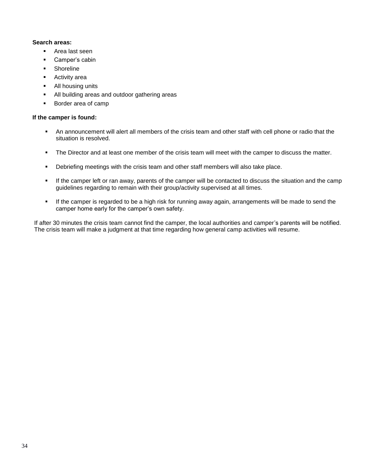#### **Search areas:**

- Area last seen
- Camper's cabin
- Shoreline
- Activity area
- All housing units
- All building areas and outdoor gathering areas
- Border area of camp

#### **If the camper is found:**

- An announcement will alert all members of the crisis team and other staff with cell phone or radio that the situation is resolved.
- **•** The Director and at least one member of the crisis team will meet with the camper to discuss the matter.
- **•** Debriefing meetings with the crisis team and other staff members will also take place.
- If the camper left or ran away, parents of the camper will be contacted to discuss the situation and the camp guidelines regarding to remain with their group/activity supervised at all times.
- If the camper is regarded to be a high risk for running away again, arrangements will be made to send the camper home early for the camper's own safety.

If after 30 minutes the crisis team cannot find the camper, the local authorities and camper's parents will be notified. The crisis team will make a judgment at that time regarding how general camp activities will resume.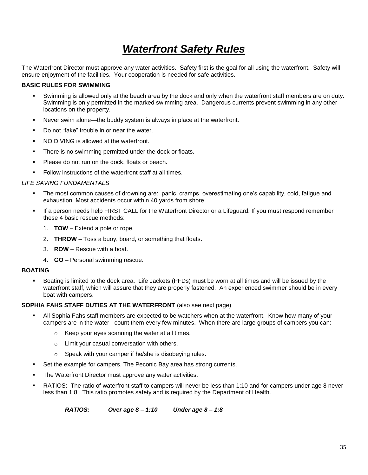# *Waterfront Safety Rules*

The Waterfront Director must approve any water activities. Safety first is the goal for all using the waterfront. Safety will ensure enjoyment of the facilities. Your cooperation is needed for safe activities.

#### **BASIC RULES FOR SWIMMING**

- Swimming is allowed only at the beach area by the dock and only when the waterfront staff members are on duty. Swimming is only permitted in the marked swimming area. Dangerous currents prevent swimming in any other locations on the property.
- Never swim alone—the buddy system is always in place at the waterfront.
- Do not "fake" trouble in or near the water.
- $NO$   $DIVING$  is allowed at the waterfront.
- **•** There is no swimming permitted under the dock or floats.
- **•** Please do not run on the dock, floats or beach.
- Follow instructions of the waterfront staff at all times.

#### *LIFE SAVING FUNDAMENTALS*

- The most common causes of drowning are: panic, cramps, overestimating one's capability, cold, fatigue and exhaustion. Most accidents occur within 40 yards from shore.
- If a person needs help FIRST CALL for the Waterfront Director or a Lifeguard. If you must respond remember these 4 basic rescue methods:
	- 1. **TOW** Extend a pole or rope.
	- 2. **THROW** Toss a buoy, board, or something that floats.
	- 3. **ROW** Rescue with a boat.
	- 4. **GO** Personal swimming rescue.

#### **BOATING**

Boating is limited to the dock area. Life Jackets (PFDs) must be worn at all times and will be issued by the waterfront staff, which will assure that they are properly fastened. An experienced swimmer should be in every boat with campers.

#### **SOPHIA FAHS STAFF DUTIES AT THE WATERFRONT** (also see next page)

- All Sophia Fahs staff members are expected to be watchers when at the waterfront. Know how many of your campers are in the water –count them every few minutes. When there are large groups of campers you can:
	- o Keep your eyes scanning the water at all times.
	- o Limit your casual conversation with others.
	- o Speak with your camper if he/she is disobeying rules.
- Set the example for campers. The Peconic Bay area has strong currents.
- The Waterfront Director must approve any water activities.
- RATIOS: The ratio of waterfront staff to campers will never be less than 1:10 and for campers under age 8 never less than 1:8. This ratio promotes safety and is required by the Department of Health.

*RATIOS: Over age 8 – 1:10 Under age 8 – 1:8*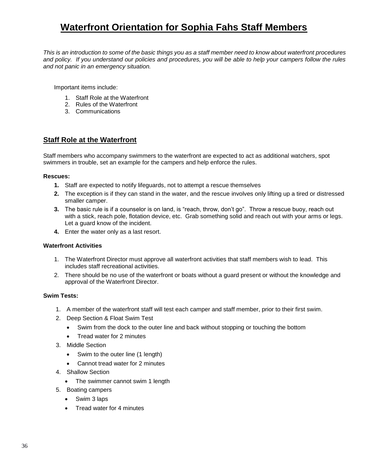## **Waterfront Orientation for Sophia Fahs Staff Members**

*This is an introduction to some of the basic things you as a staff member need to know about waterfront procedures and policy. If you understand our policies and procedures, you will be able to help your campers follow the rules and not panic in an emergency situation.*

Important items include:

- 1. Staff Role at the Waterfront
- 2. Rules of the Waterfront
- 3. Communications

#### **Staff Role at the Waterfront**

Staff members who accompany swimmers to the waterfront are expected to act as additional watchers, spot swimmers in trouble, set an example for the campers and help enforce the rules.

#### **Rescues:**

- **1.** Staff are expected to notify lifeguards, not to attempt a rescue themselves
- **2.** The exception is if they can stand in the water, and the rescue involves only lifting up a tired or distressed smaller camper.
- **3.** The basic rule is if a counselor is on land, is "reach, throw, don't go". Throw a rescue buoy, reach out with a stick, reach pole, flotation device, etc. Grab something solid and reach out with your arms or legs. Let a guard know of the incident.
- **4.** Enter the water only as a last resort.

#### **Waterfront Activities**

- 1. The Waterfront Director must approve all waterfront activities that staff members wish to lead. This includes staff recreational activities.
- 2. There should be no use of the waterfront or boats without a guard present or without the knowledge and approval of the Waterfront Director.

#### **Swim Tests:**

- 1. A member of the waterfront staff will test each camper and staff member, prior to their first swim.
- 2. Deep Section & Float Swim Test
	- Swim from the dock to the outer line and back without stopping or touching the bottom
	- Tread water for 2 minutes
- 3. Middle Section
	- Swim to the outer line (1 length)
	- Cannot tread water for 2 minutes
- 4. Shallow Section
	- The swimmer cannot swim 1 length
- 5. Boating campers
	- Swim 3 laps
	- Tread water for 4 minutes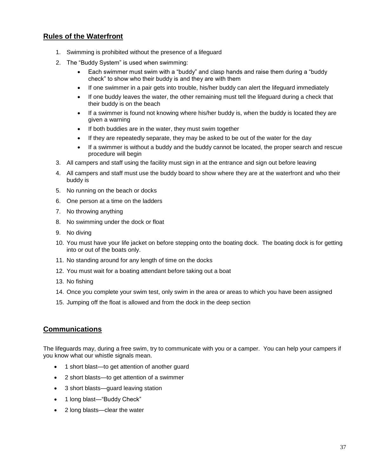#### **Rules of the Waterfront**

- 1. Swimming is prohibited without the presence of a lifeguard
- 2. The "Buddy System" is used when swimming:
	- Each swimmer must swim with a "buddy" and clasp hands and raise them during a "buddy check" to show who their buddy is and they are with them
	- If one swimmer in a pair gets into trouble, his/her buddy can alert the lifeguard immediately
	- If one buddy leaves the water, the other remaining must tell the lifeguard during a check that their buddy is on the beach
	- If a swimmer is found not knowing where his/her buddy is, when the buddy is located they are given a warning
	- If both buddies are in the water, they must swim together
	- If they are repeatedly separate, they may be asked to be out of the water for the day
	- If a swimmer is without a buddy and the buddy cannot be located, the proper search and rescue procedure will begin
- 3. All campers and staff using the facility must sign in at the entrance and sign out before leaving
- 4. All campers and staff must use the buddy board to show where they are at the waterfront and who their buddy is
- 5. No running on the beach or docks
- 6. One person at a time on the ladders
- 7. No throwing anything
- 8. No swimming under the dock or float
- 9. No diving
- 10. You must have your life jacket on before stepping onto the boating dock. The boating dock is for getting into or out of the boats only.
- 11. No standing around for any length of time on the docks
- 12. You must wait for a boating attendant before taking out a boat
- 13. No fishing
- 14. Once you complete your swim test, only swim in the area or areas to which you have been assigned
- 15. Jumping off the float is allowed and from the dock in the deep section

#### **Communications**

The lifeguards may, during a free swim, try to communicate with you or a camper. You can help your campers if you know what our whistle signals mean.

- 1 short blast—to get attention of another guard
- 2 short blasts—to get attention of a swimmer
- 3 short blasts—guard leaving station
- 1 long blast—"Buddy Check"
- 2 long blasts—clear the water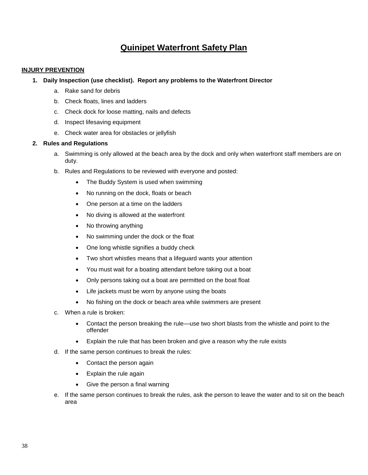### **Quinipet Waterfront Safety Plan**

#### **INJURY PREVENTION**

#### **1. Daily Inspection (use checklist). Report any problems to the Waterfront Director**

- a. Rake sand for debris
- b. Check floats, lines and ladders
- c. Check dock for loose matting, nails and defects
- d. Inspect lifesaving equipment
- e. Check water area for obstacles or jellyfish

#### **2. Rules and Regulations**

- a. Swimming is only allowed at the beach area by the dock and only when waterfront staff members are on duty.
- b. Rules and Regulations to be reviewed with everyone and posted:
	- The Buddy System is used when swimming
	- No running on the dock, floats or beach
	- One person at a time on the ladders
	- No diving is allowed at the waterfront
	- No throwing anything
	- No swimming under the dock or the float
	- One long whistle signifies a buddy check
	- Two short whistles means that a lifeguard wants your attention
	- You must wait for a boating attendant before taking out a boat
	- Only persons taking out a boat are permitted on the boat float
	- Life jackets must be worn by anyone using the boats
	- No fishing on the dock or beach area while swimmers are present
- c. When a rule is broken:
	- Contact the person breaking the rule—use two short blasts from the whistle and point to the offender
	- Explain the rule that has been broken and give a reason why the rule exists
- d. If the same person continues to break the rules:
	- Contact the person again
	- Explain the rule again
	- Give the person a final warning
- e. If the same person continues to break the rules, ask the person to leave the water and to sit on the beach area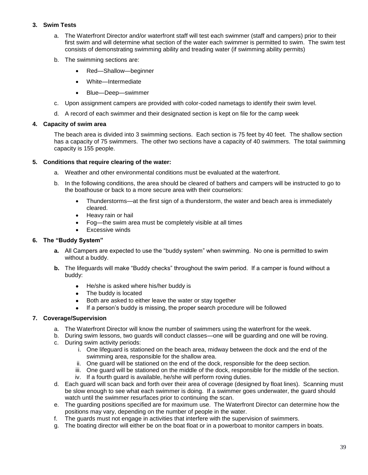#### **3. Swim Tests**

- a. The Waterfront Director and/or waterfront staff will test each swimmer (staff and campers) prior to their first swim and will determine what section of the water each swimmer is permitted to swim. The swim test consists of demonstrating swimming ability and treading water (if swimming ability permits)
- b. The swimming sections are:
	- Red—Shallow—beginner
	- White—Intermediate
	- Blue—Deep—swimmer
- c. Upon assignment campers are provided with color-coded nametags to identify their swim level.
- d. A record of each swimmer and their designated section is kept on file for the camp week

#### **4. Capacity of swim area**

The beach area is divided into 3 swimming sections. Each section is 75 feet by 40 feet. The shallow section has a capacity of 75 swimmers. The other two sections have a capacity of 40 swimmers. The total swimming capacity is 155 people.

#### **5. Conditions that require clearing of the water:**

- a. Weather and other environmental conditions must be evaluated at the waterfront.
- b. In the following conditions, the area should be cleared of bathers and campers will be instructed to go to the boathouse or back to a more secure area with their counselors:
	- Thunderstorms—at the first sign of a thunderstorm, the water and beach area is immediately cleared.
	- Heavy rain or hail
	- Fog—the swim area must be completely visible at all times
	- **Excessive winds**

#### **6. The "Buddy System"**

- **a.** All Campers are expected to use the "buddy system" when swimming. No one is permitted to swim without a buddy.
- **b.** The lifeguards will make "Buddy checks" throughout the swim period. If a camper is found without a buddy:
	- He/she is asked where his/her buddy is
	- The buddy is located
	- Both are asked to either leave the water or stay together
	- If a person's buddy is missing, the proper search procedure will be followed

#### **7. Coverage/Supervision**

- a. The Waterfront Director will know the number of swimmers using the waterfront for the week.
- b. During swim lessons, two guards will conduct classes—one will be guarding and one will be roving.
- c. During swim activity periods:
	- i. One lifeguard is stationed on the beach area, midway between the dock and the end of the swimming area, responsible for the shallow area.
	- ii. One guard will be stationed on the end of the dock, responsible for the deep section.
	- iii. One guard will be stationed on the middle of the dock, responsible for the middle of the section. iv. If a fourth guard is available, he/she will perform roving duties.
- d. Each guard will scan back and forth over their area of coverage (designed by float lines). Scanning must be slow enough to see what each swimmer is doing. If a swimmer goes underwater, the guard should watch until the swimmer resurfaces prior to continuing the scan.
- e. The guarding positions specified are for maximum use. The Waterfront Director can determine how the positions may vary, depending on the number of people in the water.
- f. The guards must not engage in activities that interfere with the supervision of swimmers.
- g. The boating director will either be on the boat float or in a powerboat to monitor campers in boats.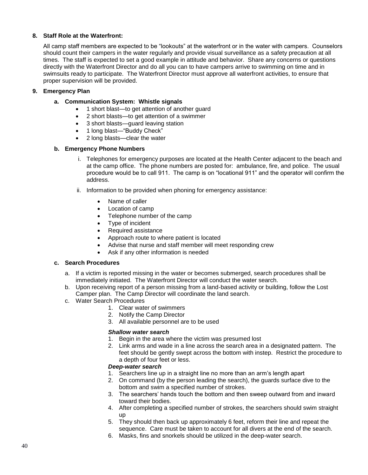#### **8. Staff Role at the Waterfront:**

All camp staff members are expected to be "lookouts" at the waterfront or in the water with campers. Counselors should count their campers in the water regularly and provide visual surveillance as a safety precaution at all times. The staff is expected to set a good example in attitude and behavior. Share any concerns or questions directly with the Waterfront Director and do all you can to have campers arrive to swimming on time and in swimsuits ready to participate. The Waterfront Director must approve all waterfront activities, to ensure that proper supervision will be provided.

#### **9. Emergency Plan**

- **a. Communication System: Whistle signals**
	- 1 short blast—to get attention of another guard
	- 2 short blasts—to get attention of a swimmer
	- 3 short blasts—guard leaving station
	- 1 long blast—"Buddy Check"
	- 2 long blasts—clear the water

#### **b. Emergency Phone Numbers**

- i. Telephones for emergency purposes are located at the Health Center adjacent to the beach and at the camp office. The phone numbers are posted for: ambulance, fire, and police. The usual procedure would be to call 911. The camp is on "locational 911" and the operator will confirm the address.
- ii. Information to be provided when phoning for emergency assistance:
	- Name of caller
	- Location of camp
	- Telephone number of the camp
	- Type of incident
	- Required assistance
	- Approach route to where patient is located
	- Advise that nurse and staff member will meet responding crew
	- Ask if any other information is needed

#### **c. Search Procedures**

- a. If a victim is reported missing in the water or becomes submerged, search procedures shall be immediately initiated. The Waterfront Director will conduct the water search.
- b. Upon receiving report of a person missing from a land-based activity or building, follow the Lost Camper plan. The Camp Director will coordinate the land search.
- c. Water Search Procedures
	- 1. Clear water of swimmers
	- 2. Notify the Camp Director
	- 3. All available personnel are to be used

#### *Shallow water search*

- 1. Begin in the area where the victim was presumed lost
- 2. Link arms and wade in a line across the search area in a designated pattern. The feet should be gently swept across the bottom with instep. Restrict the procedure to a depth of four feet or less.

#### *Deep-water search*

- 1. Searchers line up in a straight line no more than an arm's length apart
- 2. On command (by the person leading the search), the guards surface dive to the bottom and swim a specified number of strokes.
- 3. The searchers' hands touch the bottom and then sweep outward from and inward toward their bodies.
- 4. After completing a specified number of strokes, the searchers should swim straight up
- 5. They should then back up approximately 6 feet, reform their line and repeat the sequence. Care must be taken to account for all divers at the end of the search.
- 6. Masks, fins and snorkels should be utilized in the deep-water search.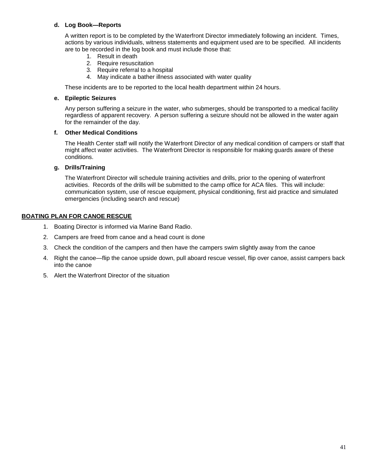#### **d. Log Book—Reports**

A written report is to be completed by the Waterfront Director immediately following an incident. Times, actions by various individuals, witness statements and equipment used are to be specified. All incidents are to be recorded in the log book and must include those that:

- 1. Result in death
- 2. Require resuscitation
- 3. Require referral to a hospital
- 4. May indicate a bather illness associated with water quality

These incidents are to be reported to the local health department within 24 hours.

#### **e. Epileptic Seizures**

Any person suffering a seizure in the water, who submerges, should be transported to a medical facility regardless of apparent recovery. A person suffering a seizure should not be allowed in the water again for the remainder of the day.

#### **f. Other Medical Conditions**

The Health Center staff will notify the Waterfront Director of any medical condition of campers or staff that might affect water activities. The Waterfront Director is responsible for making guards aware of these conditions.

#### **g. Drills/Training**

The Waterfront Director will schedule training activities and drills, prior to the opening of waterfront activities. Records of the drills will be submitted to the camp office for ACA files. This will include: communication system, use of rescue equipment, physical conditioning, first aid practice and simulated emergencies (including search and rescue)

#### **BOATING PLAN FOR CANOE RESCUE**

- 1. Boating Director is informed via Marine Band Radio.
- 2. Campers are freed from canoe and a head count is done
- 3. Check the condition of the campers and then have the campers swim slightly away from the canoe
- 4. Right the canoe—flip the canoe upside down, pull aboard rescue vessel, flip over canoe, assist campers back into the canoe
- 5. Alert the Waterfront Director of the situation